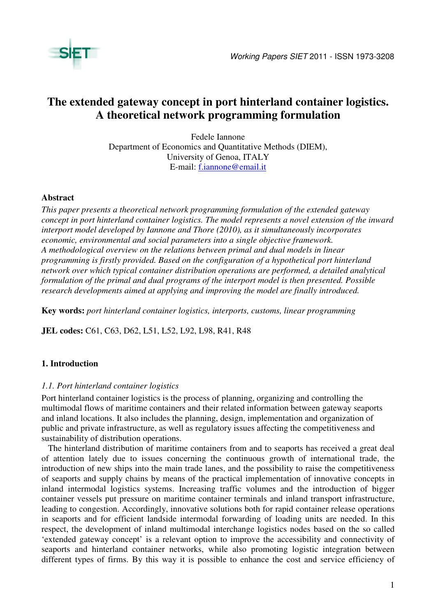

# **The extended gateway concept in port hinterland container logistics. A theoretical network programming formulation**

Fedele Iannone Department of Economics and Quantitative Methods (DIEM), University of Genoa, ITALY E-mail: f.iannone@email.it

### **Abstract**

*This paper presents a theoretical network programming formulation of the extended gateway concept in port hinterland container logistics. The model represents a novel extension of the inward interport model developed by Iannone and Thore (2010), as it simultaneously incorporates economic, environmental and social parameters into a single objective framework. A methodological overview on the relations between primal and dual models in linear programming is firstly provided. Based on the configuration of a hypothetical port hinterland network over which typical container distribution operations are performed, a detailed analytical formulation of the primal and dual programs of the interport model is then presented. Possible research developments aimed at applying and improving the model are finally introduced.* 

**Key words:** *port hinterland container logistics, interports, customs, linear programming* 

**JEL codes:** C61, C63, D62, L51, L52, L92, L98, R41, R48

## **1. Introduction**

### *1.1. Port hinterland container logistics*

Port hinterland container logistics is the process of planning, organizing and controlling the multimodal flows of maritime containers and their related information between gateway seaports and inland locations. It also includes the planning, design, implementation and organization of public and private infrastructure, as well as regulatory issues affecting the competitiveness and sustainability of distribution operations.

The hinterland distribution of maritime containers from and to seaports has received a great deal of attention lately due to issues concerning the continuous growth of international trade, the introduction of new ships into the main trade lanes, and the possibility to raise the competitiveness of seaports and supply chains by means of the practical implementation of innovative concepts in inland intermodal logistics systems. Increasing traffic volumes and the introduction of bigger container vessels put pressure on maritime container terminals and inland transport infrastructure, leading to congestion. Accordingly, innovative solutions both for rapid container release operations in seaports and for efficient landside intermodal forwarding of loading units are needed. In this respect, the development of inland multimodal interchange logistics nodes based on the so called 'extended gateway concept' is a relevant option to improve the accessibility and connectivity of seaports and hinterland container networks, while also promoting logistic integration between different types of firms. By this way it is possible to enhance the cost and service efficiency of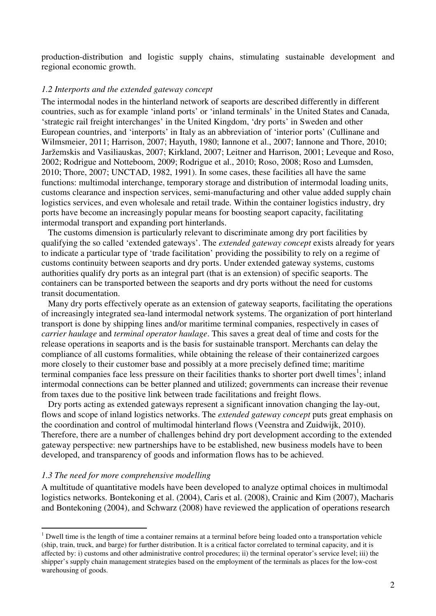production-distribution and logistic supply chains, stimulating sustainable development and regional economic growth.

### *1.2 Interports and the extended gateway concept*

The intermodal nodes in the hinterland network of seaports are described differently in different countries, such as for example 'inland ports' or 'inland terminals' in the United States and Canada, 'strategic rail freight interchanges' in the United Kingdom, 'dry ports' in Sweden and other European countries, and 'interports' in Italy as an abbreviation of 'interior ports' (Cullinane and Wilmsmeier, 2011; Harrison, 2007; Hayuth, 1980; Iannone et al., 2007; Iannone and Thore, 2010; Jaržemskis and Vasiliauskas, 2007; Kirkland, 2007; Leitner and Harrison, 2001; Leveque and Roso, 2002; Rodrigue and Notteboom, 2009; Rodrigue et al., 2010; Roso, 2008; Roso and Lumsden, 2010; Thore, 2007; UNCTAD, 1982, 1991). In some cases, these facilities all have the same functions: multimodal interchange, temporary storage and distribution of intermodal loading units, customs clearance and inspection services, semi-manufacturing and other value added supply chain logistics services, and even wholesale and retail trade. Within the container logistics industry, dry ports have become an increasingly popular means for boosting seaport capacity, facilitating intermodal transport and expanding port hinterlands.

The customs dimension is particularly relevant to discriminate among dry port facilities by qualifying the so called 'extended gateways'. The *extended gateway concept* exists already for years to indicate a particular type of 'trade facilitation' providing the possibility to rely on a regime of customs continuity between seaports and dry ports. Under extended gateway systems, customs authorities qualify dry ports as an integral part (that is an extension) of specific seaports. The containers can be transported between the seaports and dry ports without the need for customs transit documentation.

Many dry ports effectively operate as an extension of gateway seaports, facilitating the operations of increasingly integrated sea-land intermodal network systems. The organization of port hinterland transport is done by shipping lines and/or maritime terminal companies, respectively in cases of *carrier haulage* and *terminal operator haulage*. This saves a great deal of time and costs for the release operations in seaports and is the basis for sustainable transport. Merchants can delay the compliance of all customs formalities, while obtaining the release of their containerized cargoes more closely to their customer base and possibly at a more precisely defined time; maritime terminal companies face less pressure on their facilities thanks to shorter port dwell times<sup>1</sup>; inland intermodal connections can be better planned and utilized; governments can increase their revenue from taxes due to the positive link between trade facilitations and freight flows.

Dry ports acting as extended gateways represent a significant innovation changing the lay-out, flows and scope of inland logistics networks. The *extended gateway concept* puts great emphasis on the coordination and control of multimodal hinterland flows (Veenstra and Zuidwijk, 2010). Therefore, there are a number of challenges behind dry port development according to the extended gateway perspective: new partnerships have to be established, new business models have to been developed, and transparency of goods and information flows has to be achieved.

### *1.3 The need for more comprehensive modelling*

 $\overline{a}$ 

A multitude of quantitative models have been developed to analyze optimal choices in multimodal logistics networks. Bontekoning et al. (2004), Caris et al. (2008), Crainic and Kim (2007), Macharis and Bontekoning (2004), and Schwarz (2008) have reviewed the application of operations research

 $1$  Dwell time is the length of time a container remains at a terminal before being loaded onto a transportation vehicle (ship, train, truck, and barge) for further distribution. It is a critical factor correlated to terminal capacity, and it is affected by: i) customs and other administrative control procedures; ii) the terminal operator's service level; iii) the shipper's supply chain management strategies based on the employment of the terminals as places for the low-cost warehousing of goods.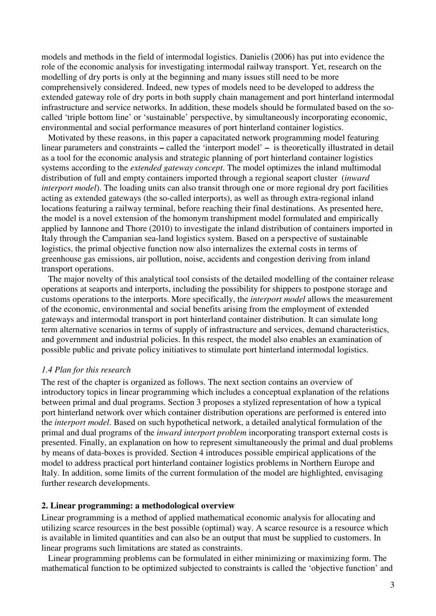models and methods in the field of intermodal logistics. Danielis (2006) has put into evidence the role of the economic analysis for investigating intermodal railway transport. Yet, research on the modelling of dry ports is only at the beginning and many issues still need to be more comprehensively considered. Indeed, new types of models need to be developed to address the extended gateway role of dry ports in both supply chain management and port hinterland intermodal infrastructure and service networks. In addition, these models should be formulated based on the socalled 'triple bottom line' or 'sustainable' perspective, by simultaneously incorporating economic, environmental and social performance measures of port hinterland container logistics.

Motivated by these reasons, in this paper a capacitated network programming model featuring linear parameters and constraints **–** called the 'interport model' **–** is theoretically illustrated in detail as a tool for the economic analysis and strategic planning of port hinterland container logistics systems according to the *extended gateway concept*. The model optimizes the inland multimodal distribution of full and empty containers imported through a regional seaport cluster (*inward interport model*). The loading units can also transit through one or more regional dry port facilities acting as extended gateways (the so-called interports), as well as through extra-regional inland locations featuring a railway terminal, before reaching their final destinations. As presented here, the model is a novel extension of the homonym transhipment model formulated and empirically applied by Iannone and Thore (2010) to investigate the inland distribution of containers imported in Italy through the Campanian sea-land logistics system. Based on a perspective of sustainable logistics, the primal objective function now also internalizes the external costs in terms of greenhouse gas emissions, air pollution, noise, accidents and congestion deriving from inland transport operations.

The major novelty of this analytical tool consists of the detailed modelling of the container release operations at seaports and interports, including the possibility for shippers to postpone storage and customs operations to the interports. More specifically, the *interport model* allows the measurement of the economic, environmental and social benefits arising from the employment of extended gateways and intermodal transport in port hinterland container distribution. It can simulate long term alternative scenarios in terms of supply of infrastructure and services, demand characteristics, and government and industrial policies. In this respect, the model also enables an examination of possible public and private policy initiatives to stimulate port hinterland intermodal logistics.

### *1.4 Plan for this research*

The rest of the chapter is organized as follows. The next section contains an overview of introductory topics in linear programming which includes a conceptual explanation of the relations between primal and dual programs. Section 3 proposes a stylized representation of how a typical port hinterland network over which container distribution operations are performed is entered into the *interport model*. Based on such hypothetical network, a detailed analytical formulation of the primal and dual programs of the *inward interport problem* incorporating transport external costs is presented. Finally, an explanation on how to represent simultaneously the primal and dual problems by means of data-boxes is provided. Section 4 introduces possible empirical applications of the model to address practical port hinterland container logistics problems in Northern Europe and Italy. In addition, some limits of the current formulation of the model are highlighted, envisaging further research developments.

### **2. Linear programming: a methodological overview**

Linear programming is a method of applied mathematical economic analysis for allocating and utilizing scarce resources in the best possible (optimal) way. A scarce resource is a resource which is available in limited quantities and can also be an output that must be supplied to customers. In linear programs such limitations are stated as constraints.

Linear programming problems can be formulated in either minimizing or maximizing form. The mathematical function to be optimized subjected to constraints is called the 'objective function' and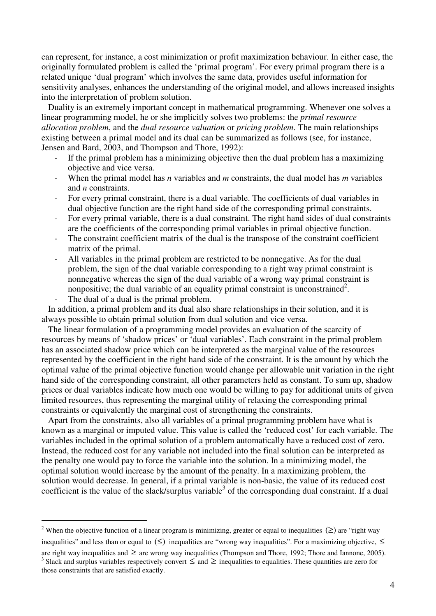can represent, for instance, a cost minimization or profit maximization behaviour. In either case, the originally formulated problem is called the 'primal program'. For every primal program there is a related unique 'dual program' which involves the same data, provides useful information for sensitivity analyses, enhances the understanding of the original model, and allows increased insights into the interpretation of problem solution.

Duality is an extremely important concept in mathematical programming. Whenever one solves a linear programming model, he or she implicitly solves two problems: the *primal resource allocation problem*, and the *dual resource valuation* or *pricing problem*. The main relationships existing between a primal model and its dual can be summarized as follows (see, for instance, Jensen and Bard, 2003, and Thompson and Thore, 1992):

- If the primal problem has a minimizing objective then the dual problem has a maximizing objective and vice versa.
- When the primal model has *n* variables and *m* constraints, the dual model has *m* variables and *n* constraints.
- For every primal constraint, there is a dual variable. The coefficients of dual variables in dual objective function are the right hand side of the corresponding primal constraints.
- For every primal variable, there is a dual constraint. The right hand sides of dual constraints are the coefficients of the corresponding primal variables in primal objective function.
- The constraint coefficient matrix of the dual is the transpose of the constraint coefficient matrix of the primal.
- All variables in the primal problem are restricted to be nonnegative. As for the dual problem, the sign of the dual variable corresponding to a right way primal constraint is nonnegative whereas the sign of the dual variable of a wrong way primal constraint is nonpositive; the dual variable of an equality primal constraint is unconstrained<sup>2</sup>.
- The dual of a dual is the primal problem.

 $\overline{a}$ 

In addition, a primal problem and its dual also share relationships in their solution, and it is always possible to obtain primal solution from dual solution and vice versa.

The linear formulation of a programming model provides an evaluation of the scarcity of resources by means of 'shadow prices' or 'dual variables'. Each constraint in the primal problem has an associated shadow price which can be interpreted as the marginal value of the resources represented by the coefficient in the right hand side of the constraint. It is the amount by which the optimal value of the primal objective function would change per allowable unit variation in the right hand side of the corresponding constraint, all other parameters held as constant. To sum up, shadow prices or dual variables indicate how much one would be willing to pay for additional units of given limited resources, thus representing the marginal utility of relaxing the corresponding primal constraints or equivalently the marginal cost of strengthening the constraints.

Apart from the constraints, also all variables of a primal programming problem have what is known as a marginal or imputed value. This value is called the 'reduced cost' for each variable. The variables included in the optimal solution of a problem automatically have a reduced cost of zero. Instead, the reduced cost for any variable not included into the final solution can be interpreted as the penalty one would pay to force the variable into the solution. In a minimizing model, the optimal solution would increase by the amount of the penalty. In a maximizing problem, the solution would decrease. In general, if a primal variable is non-basic, the value of its reduced cost coefficient is the value of the slack/surplus variable<sup>3</sup> of the corresponding dual constraint. If a dual

<sup>&</sup>lt;sup>2</sup> When the objective function of a linear program is minimizing, greater or equal to inequalities  $( \geq )$  are "right way

inequalities" and less than or equal to  $(\le)$  inequalities are "wrong way inequalities". For a maximizing objective,  $\le$ are right way inequalities and  $\geq$  are wrong way inequalities (Thompson and Thore, 1992; Thore and Iannone, 2005). <sup>3</sup> Slack and surplus variables respectively convert  $\leq$  and  $\geq$  inequalities to equalities. These quantities are zero for those constraints that are satisfied exactly.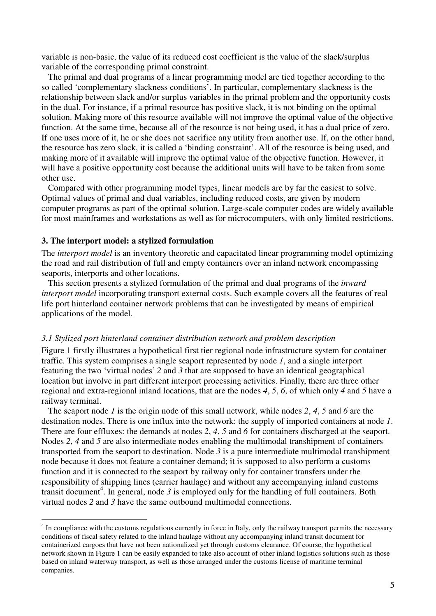variable is non-basic, the value of its reduced cost coefficient is the value of the slack/surplus variable of the corresponding primal constraint.

The primal and dual programs of a linear programming model are tied together according to the so called 'complementary slackness conditions'. In particular, complementary slackness is the relationship between slack and/or surplus variables in the primal problem and the opportunity costs in the dual. For instance, if a primal resource has positive slack, it is not binding on the optimal solution. Making more of this resource available will not improve the optimal value of the objective function. At the same time, because all of the resource is not being used, it has a dual price of zero. If one uses more of it, he or she does not sacrifice any utility from another use. If, on the other hand, the resource has zero slack, it is called a 'binding constraint'. All of the resource is being used, and making more of it available will improve the optimal value of the objective function. However, it will have a positive opportunity cost because the additional units will have to be taken from some other use.

Compared with other programming model types, linear models are by far the easiest to solve. Optimal values of primal and dual variables, including reduced costs, are given by modern computer programs as part of the optimal solution. Large-scale computer codes are widely available for most mainframes and workstations as well as for microcomputers, with only limited restrictions.

### **3. The interport model: a stylized formulation**

 $\overline{a}$ 

The *interport model* is an inventory theoretic and capacitated linear programming model optimizing the road and rail distribution of full and empty containers over an inland network encompassing seaports, interports and other locations.

This section presents a stylized formulation of the primal and dual programs of the *inward interport model* incorporating transport external costs. Such example covers all the features of real life port hinterland container network problems that can be investigated by means of empirical applications of the model.

#### *3.1 Stylized port hinterland container distribution network and problem description*

Figure 1 firstly illustrates a hypothetical first tier regional node infrastructure system for container traffic. This system comprises a single seaport represented by node *1*, and a single interport featuring the two 'virtual nodes' *2* and *3* that are supposed to have an identical geographical location but involve in part different interport processing activities. Finally, there are three other regional and extra-regional inland locations, that are the nodes *4*, *5*, *6*, of which only *4* and *5* have a railway terminal.

The seaport node *1* is the origin node of this small network, while nodes *2*, *4*, *5* and *6* are the destination nodes. There is one influx into the network: the supply of imported containers at node *1*. There are four effluxes: the demands at nodes *2*, *4*, *5* and *6* for containers discharged at the seaport. Nodes *2*, *4* and *5* are also intermediate nodes enabling the multimodal transhipment of containers transported from the seaport to destination. Node *3* is a pure intermediate multimodal transhipment node because it does not feature a container demand; it is supposed to also perform a customs function and it is connected to the seaport by railway only for container transfers under the responsibility of shipping lines (carrier haulage) and without any accompanying inland customs transit document<sup>4</sup>. In general, node  $\beta$  is employed only for the handling of full containers. Both virtual nodes *2* and *3* have the same outbound multimodal connections.

<sup>&</sup>lt;sup>4</sup> In compliance with the customs regulations currently in force in Italy, only the railway transport permits the necessary conditions of fiscal safety related to the inland haulage without any accompanying inland transit document for containerized cargoes that have not been nationalized yet through customs clearance. Of course, the hypothetical network shown in Figure 1 can be easily expanded to take also account of other inland logistics solutions such as those based on inland waterway transport, as well as those arranged under the customs license of maritime terminal companies.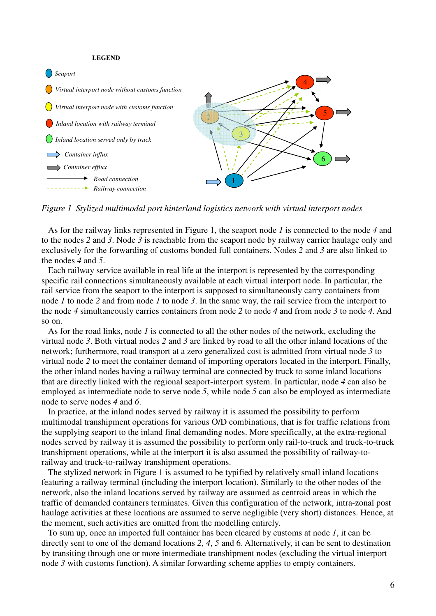#### **LEGEND**



*Figure 1 Stylized multimodal port hinterland logistics network with virtual interport nodes* 

As for the railway links represented in Figure 1, the seaport node *1* is connected to the node *4* and to the nodes *2* and *3*. Node *3* is reachable from the seaport node by railway carrier haulage only and exclusively for the forwarding of customs bonded full containers. Nodes *2* and *3* are also linked to the nodes *4* and *5*.

Each railway service available in real life at the interport is represented by the corresponding specific rail connections simultaneously available at each virtual interport node. In particular, the rail service from the seaport to the interport is supposed to simultaneously carry containers from node *1* to node *2* and from node *1* to node *3*. In the same way, the rail service from the interport to the node *4* simultaneously carries containers from node *2* to node *4* and from node *3* to node *4*. And so on.

As for the road links, node *1* is connected to all the other nodes of the network, excluding the virtual node *3*. Both virtual nodes *2* and *3* are linked by road to all the other inland locations of the network; furthermore, road transport at a zero generalized cost is admitted from virtual node *3* to virtual node *2* to meet the container demand of importing operators located in the interport. Finally, the other inland nodes having a railway terminal are connected by truck to some inland locations that are directly linked with the regional seaport-interport system. In particular, node *4* can also be employed as intermediate node to serve node *5*, while node *5* can also be employed as intermediate node to serve nodes *4* and *6*.

In practice, at the inland nodes served by railway it is assumed the possibility to perform multimodal transhipment operations for various O/D combinations, that is for traffic relations from the supplying seaport to the inland final demanding nodes. More specifically, at the extra-regional nodes served by railway it is assumed the possibility to perform only rail-to-truck and truck-to-truck transhipment operations, while at the interport it is also assumed the possibility of railway-torailway and truck-to-railway transhipment operations.

The stylized network in Figure 1 is assumed to be typified by relatively small inland locations featuring a railway terminal (including the interport location). Similarly to the other nodes of the network, also the inland locations served by railway are assumed as centroid areas in which the traffic of demanded containers terminates. Given this configuration of the network, intra-zonal post haulage activities at these locations are assumed to serve negligible (very short) distances. Hence, at the moment, such activities are omitted from the modelling entirely.

To sum up, once an imported full container has been cleared by customs at node *1*, it can be directly sent to one of the demand locations *2*, *4*, *5* and 6. Alternatively, it can be sent to destination by transiting through one or more intermediate transhipment nodes (excluding the virtual interport node 3 with customs function). A similar forwarding scheme applies to empty containers.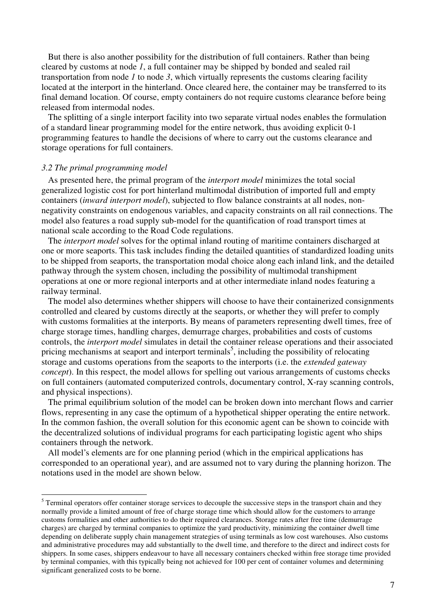But there is also another possibility for the distribution of full containers. Rather than being cleared by customs at node *1*, a full container may be shipped by bonded and sealed rail transportation from node *1* to node *3*, which virtually represents the customs clearing facility located at the interport in the hinterland. Once cleared here, the container may be transferred to its final demand location. Of course, empty containers do not require customs clearance before being released from intermodal nodes.

The splitting of a single interport facility into two separate virtual nodes enables the formulation of a standard linear programming model for the entire network, thus avoiding explicit 0-1 programming features to handle the decisions of where to carry out the customs clearance and storage operations for full containers.

#### *3.2 The primal programming model*

As presented here, the primal program of the *interport model* minimizes the total social generalized logistic cost for port hinterland multimodal distribution of imported full and empty containers (*inward interport model*), subjected to flow balance constraints at all nodes, nonnegativity constraints on endogenous variables, and capacity constraints on all rail connections. The model also features a road supply sub-model for the quantification of road transport times at national scale according to the Road Code regulations.

The *interport model* solves for the optimal inland routing of maritime containers discharged at one or more seaports. This task includes finding the detailed quantities of standardized loading units to be shipped from seaports, the transportation modal choice along each inland link, and the detailed pathway through the system chosen, including the possibility of multimodal transhipment operations at one or more regional interports and at other intermediate inland nodes featuring a railway terminal.

The model also determines whether shippers will choose to have their containerized consignments controlled and cleared by customs directly at the seaports, or whether they will prefer to comply with customs formalities at the interports. By means of parameters representing dwell times, free of charge storage times, handling charges, demurrage charges, probabilities and costs of customs controls, the *interport model* simulates in detail the container release operations and their associated pricing mechanisms at seaport and interport terminals<sup>5</sup>, including the possibility of relocating storage and customs operations from the seaports to the interports (i.e. the *extended gateway concept*). In this respect, the model allows for spelling out various arrangements of customs checks on full containers (automated computerized controls, documentary control, X-ray scanning controls, and physical inspections).

The primal equilibrium solution of the model can be broken down into merchant flows and carrier flows, representing in any case the optimum of a hypothetical shipper operating the entire network. In the common fashion, the overall solution for this economic agent can be shown to coincide with the decentralized solutions of individual programs for each participating logistic agent who ships containers through the network.

All model's elements are for one planning period (which in the empirical applications has corresponded to an operational year), and are assumed not to vary during the planning horizon. The notations used in the model are shown below.

<sup>&</sup>lt;sup>5</sup> Terminal operators offer container storage services to decouple the successive steps in the transport chain and they normally provide a limited amount of free of charge storage time which should allow for the customers to arrange customs formalities and other authorities to do their required clearances. Storage rates after free time (demurrage charges) are charged by terminal companies to optimize the yard productivity, minimizing the container dwell time depending on deliberate supply chain management strategies of using terminals as low cost warehouses. Also customs and administrative procedures may add substantially to the dwell time, and therefore to the direct and indirect costs for shippers. In some cases, shippers endeavour to have all necessary containers checked within free storage time provided by terminal companies, with this typically being not achieved for 100 per cent of container volumes and determining significant generalized costs to be borne.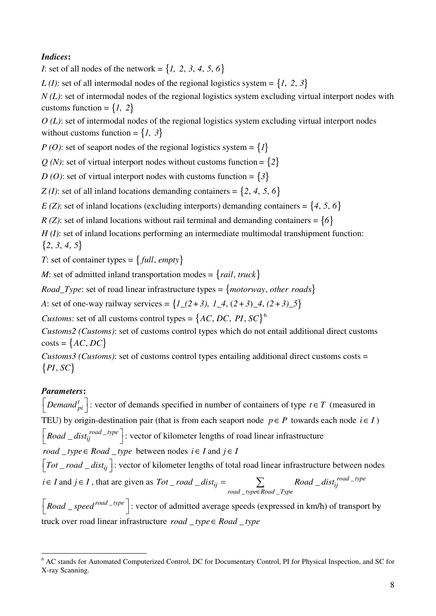# *Indices***:**

*I*: set of all nodes of the network =  $\{1, 2, 3, 4, 5, 6\}$ 

*L* (*I*): set of all intermodal nodes of the regional logistics system =  $\{1, 2, 3\}$ 

*N* (*L*): set of intermodal nodes of the regional logistics system excluding virtual interport nodes with customs function =  $\{1, 2\}$ 

*O (L)*: set of intermodal nodes of the regional logistics system excluding virtual interport nodes without customs function =  $\{1, 3\}$ 

*P* (*O*): set of seaport nodes of the regional logistics system =  $\{I\}$ 

 $Q(N)$ : set of virtual interport nodes without customs function =  $\{2\}$ 

*D* (*O*): set of virtual interport nodes with customs function =  $\{3\}$ 

*Z* (*I*): set of all inland locations demanding containers =  $\{2, 4, 5, 6\}$ 

*E (Z)*: set of inland locations (excluding interports) demanding containers =  $\{4, 5, 6\}$ 

*R (Z)*: set of inland locations without rail terminal and demanding containers =  $\{6\}$ 

*H* (*I*): set of inland locations performing an intermediate multimodal transhipment function:  ${2, 3, 4, 5}$ 

*T*: set of container types =  $\{ \text{full}, \text{empty} \}$ 

*M*: set of admitted inland transportation modes =  $\{tail, true \}$ 

*Road\_Type*: set of road linear infrastructure types =  ${$ *motorway*, *other roads* $}$ 

*A*: set of one-way railway services =  $\{I_{(2+3), I_{(2+3), 4, (2+3), 5}\}$ 

*Customs*: set of all customs control types =  $\{AC, DC, PI, SC\}^6$ 

*Customs2 (Customs)*: set of customs control types which do not entail additional direct customs  $costs = \{AC, DC\}$ 

*Customs3 (Customs)*: set of customs control types entailing additional direct customs costs =  $\{PI, SC\}$ 

# *Parameters***:**

*Demand*  $\begin{bmatrix} h_i \\ h_j \end{bmatrix}$ : vector of demands specified in number of containers of type  $t \in T$  (measured in TEU) by origin-destination pair (that is from each seaport node  $p \in P$  towards each node  $i \in I$ )  $\left[$  *Road*  $_{-}$  *dist<sub>ij</sub>*  $^{road - type}$   $\right]$ : vector of kilometer lengths of road linear infrastructure *road* \_ type  $\in$  *Road* \_ type between nodes  $i \in I$  and  $j \in I$  $\left[ Tot\_road\_dist_{ij} \right]$ : vector of kilometer lengths of total road linear infrastructure between nodes *i*∈ *I* and *j*∈ *I*, that are given as  $Tot\_road\_dist_{ii} = \sum$  Road \_dist<sub>ii</sub><sup>road</sup> –  $_$ \_type∈Road  $_$  $\sum$  *road*  $\Delta$  *dist<sub>ii</sub>* =  $\sum$  *Road*  $\Delta$  *dist<sub>ii</sub> road*  $\Delta$  *type*  $\mu_{ij}$  =  $\mu_{ij}$   $\mu_{ij}$   $\mu_{ij}$ *road* \_type∈Road \_Type  $Tot\_road\_dist_{ii} = \sum$   $Read\_dist$ ∈  $=$   $\sum$ 

 $\left[$ *Road*  $\_{speed}^{road\_type}$   $\right]$ : vector of admitted average speeds (expressed in km/h) of transport by truck over road linear infrastructure  $road\_type \in Road\_type$ 

 $\overline{a}$ <sup>6</sup> AC stands for Automated Computerized Control, DC for Documentary Control, PI for Physical Inspection, and SC for X-ray Scanning.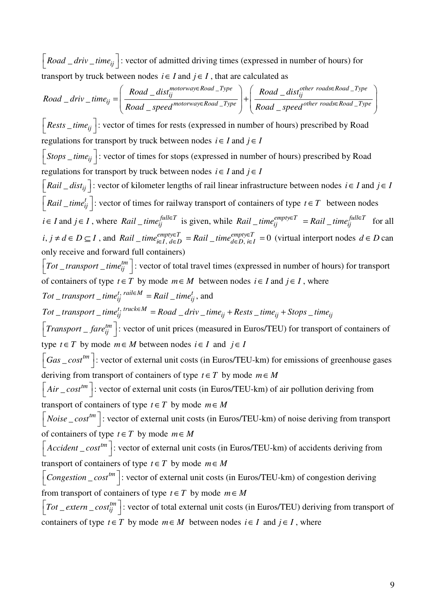$\left\lceil$  *Road \_driv \_time*<sub>ij</sub>  $\left\lceil$ : vector of admitted driving times (expressed in number of hours) for transport by truck between nodes  $i \in I$  and  $j \in I$ , that are calculated as

 $\Box$  Type  $\Big\}$  ( $\mathbf{p}_{\alpha,d}$  dist other roads  $\in$  Road  $\Box$  $\Box$  Type  $\begin{array}{c} \begin{array}{c} \end{array}$   $\end{array}$   $\begin{array}{c}$   $\mathbf{p}_{\alpha,d}$  and  $\mathbf{p}_{\alpha,d}$  other roads ERoad  $= dist_{ii}^{motorway \in Road\_Type}$  | Road  $\_$  driv  $\_$  $\equiv$  speed<sup>motorway\koaa \_1ype</sup> | Road \_ *motorway*∈Road \_Type \ ( **p**<sub>oad dist</sub>other roads∈Road \_Type *ij ij ij*  $=$   $\sqrt{\frac{p_{\text{ood}}}{p_{\text{ood}}}$   $\frac{p_{\text{good}}}{p_{\text{good}}}$   $\frac{p_{\text{good}}}{p_{\text{good}}}$   $\frac{p_{\text{good}}}{p_{\text{good}}}$   $\frac{p_{\text{good}}}{p_{\text{good}}}$   $\frac{p_{\text{good}}}{p_{\text{good}}}$  $Read\_dist_{ii}^{motorway \in Road\_Type}$  | | Road \_ dist  $\textit{Read\_driv\_time}$ *Road* \_ speed<sup>motorway∈Road \_<sup>1ype</sup> | *Road* \_ speed</sup>  $\in$ Road \_Type  $\left( \begin{array}{cc} \mathbf{p}_{\text{odd}} & \text{d}_{\text{is}}^{*}$ other roads $\in$  $\in$ Road \_Type  $\begin{bmatrix} \cdot \\ \cdot \end{bmatrix}$  p and  $\begin{bmatrix} \cdot \\ \cdot \end{bmatrix}$  and  $\begin{bmatrix} \cdot \\ \cdot \end{bmatrix}$  other roads  $\begin{pmatrix} Road & dist...^{motorway \in Road\_Type} \\ \end{pmatrix}$   $\begin{pmatrix} Road & dist...^{other} \cdot road \in Road\_Type \end{pmatrix}$  $=\left|\frac{1}{\frac{1}{\frac{1}{\frac{1}{\sqrt{1}}}}\left|1\right| + \left|\frac{1}{\frac{1}{\sqrt{1}}\left|1\right| + \left|\frac{1}{\sqrt{1}}\right|}{\frac{1}{\sqrt{1}}\left|1\right| + \left|\frac{1}{\sqrt{1}}\left|\frac{1}{\sqrt{1}}\right| + \frac{1}{\sqrt{1}}\left|\frac{1}{\sqrt{1}}\right| + \frac{1}{\sqrt{1}}\left|\frac{1}{\sqrt{1}}\right| + \frac{1}{\sqrt{1}}\left|\frac{1}{\sqrt{1}}\right| + \frac{1}{\sqrt{1}}\left|\frac{1}{\sqrt$  $(Road = speed^{m+1})$   $(Road = speed^{m+1})$  $\left[ \text{Rests }_i \right]$ : vector of times for rests (expressed in number of hours) prescribed by Road regulations for transport by truck between nodes  $i \in I$  and  $j \in I$  $|$  *Stops* \_ *time*<sub>ii</sub> : vector of times for stops (expressed in number of hours) prescribed by Road regulations for transport by truck between nodes  $i \in I$  and  $j \in I$  $\left[ \frac{Rail  $dist_{ij}$  : vector of kilometer lengths of rail linear infrastructure between nodes *i*  $\in$  *I* and *j*  $\in$  *I*$  $\left[Rail\_time^t_{ij}\right]$ : vector of times for railway transport of containers of type  $t \in T$  between nodes *i*∈ *I* and *j*∈ *I*, where  $Rain \in \text{fail}$  *iime*<sup>*full∈T*</sup> is given, while  $Rain \in \text{fail}$  *iime*<sup>*full∈T*</sup> *ime<sub>ij</sub>* for all *i*, *j* ≠ *d* ∈ *D* ⊆ *I*, and *Rail* \_*time*<sup>empty∈T</sup> = *Rail* \_*time*<sup>empty∈T</sup> = 0 (virtual interport nodes *d* ∈ *D* can only receive and forward full containers)  $\left[Tot\_transport\_time^{tm}_{ij}\right]$ : vector of total travel times (expressed in number of hours) for transport of containers of type  $t \in T$  by mode  $m \in M$  between nodes  $i \in I$  and  $j \in I$ , where  $Tot\_transport\_time_{ij}^{t, \{{ruleM}\}} = \text{Rail\_time}_{ij}^{t}, \text{ and}$  $Tot\_transport\_time^{t, \; true \& \in M}_{ij} = Road\_driv\_time_{ij} + Rests\_time_{ij} + Stops\_time_{ij}$  $\left[Transport - fare^{tm}_{ij}\right]$ : vector of unit prices (measured in Euros/TEU) for transport of containers of type  $t \in T$  by mode  $m \in M$  between nodes  $i \in I$  and  $j \in I$  $\left[ Gas\_cost^{tm} \right]$ : vector of external unit costs (in Euros/TEU-km) for emissions of greenhouse gases deriving from transport of containers of type  $t \in T$  by mode  $m \in M$  $[Air\_cost^{tm}]$ : vector of external unit costs (in Euros/TEU-km) of air pollution deriving from transport of containers of type  $t \in T$  by mode  $m \in M$  $\left[Noise\_cost^{tm}\right]$ : vector of external unit costs (in Euros/TEU-km) of noise deriving from transport of containers of type  $t \in T$  by mode  $m \in M$  $\left[Accident\_cost^{tm}\right]$ : vector of external unit costs (in Euros/TEU-km) of accidents deriving from transport of containers of type  $t \in T$  by mode  $m \in M$  $\left[Consestion\_cost^{tm}\right]$ : vector of external unit costs (in Euros/TEU-km) of congestion deriving from transport of containers of type  $t \in T$  by mode  $m \in M$  $\left[ Tot\_extern\_cost^{tm}_{ij} \right]$ : vector of total external unit costs (in Euros/TEU) deriving from transport of containers of type  $t \in T$  by mode  $m \in M$  between nodes  $i \in I$  and  $j \in I$ , where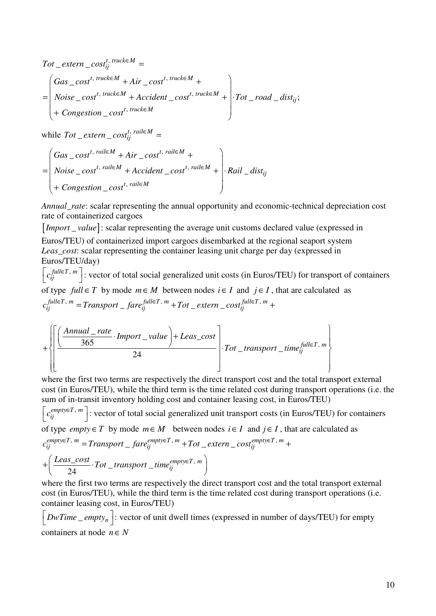$$
Tot\_extern\_cost_{ij}^{t, \, truck \in M} =
$$
\n
$$
= \begin{pmatrix} Gas\_cost^{t, \, truck \in M} + Air\_cost^{t, \, truck \in M} + \n\text{Noise\_cost}^{t, \, truck \in M} + \n\text{Accident}\_{cost}^{t, \, truck \in M} + \n\end{pmatrix} \cdot Tot\_road\_dist_{ij};
$$
\n
$$
+ Congestion\_cost^{t, \, truck \in M}
$$

while  $Tot\_extern\_cost^{t, \text{ } rail \in M}_{ij}$  =

$$
= \begin{pmatrix} Gas\_cost^{t, \text{ rail} \in M} + Air\_cost^{t, \text{ rail} \in M} + \\ Noise\_cost^{t, \text{ rail} \in M} + Accident\_cost^{t, \text{ rail} \in M} + \cdot \\ + Congestion\_cost^{t, \text{ rail} \in M} \end{pmatrix} \cdot \text{Rail\_dist}_{ij}
$$

*Annual\_rate*: scalar representing the annual opportunity and economic-technical depreciation cost rate of containerized cargoes

[*Import* value]: scalar representing the average unit customs declared value (expressed in Euros/TEU) of containerized import cargoes disembarked at the regional seaport system *Leas cost:* scalar representing the container leasing unit charge per day (expressed in Euros/TEU/day)

 $\left[c_{ij}^{full \in T, m}\right]$ : vector of total social generalized unit costs (in Euros/TEU) for transport of containers of type  $full \in T$  by mode  $m \in M$  between nodes  $i \in I$  and  $j \in I$ , that are calculated as  $, m = T_{ransport}$   $f_{arc}$  fulle  $T, m = T_{ctr}$  extern cost fulle  $T$ ,  $f^{full \in T, m}_{j} = Transport\_fare^{full \in T, m}_{ij} + Tot\_extern\_cost^{full \in T, m}_{ij}$  $c_{ij}^{full \in T, m}$  = Transport \_ fare $_{ij}^{full \in T, m}$  + Tot \_ extern \_ cost $_{ij}^{full \in T, m}$  +

$$
+ \left\{\left[\frac{\left(\frac{Annual\_rate}{365} \cdot Import\_value\right) + Least\_cost}{24}\right] \cdot Tot\_transport\_time_{ij}^{full \in T, m}\right\}
$$

where the first two terms are respectively the direct transport cost and the total transport external cost (in Euros/TEU), while the third term is the time related cost during transport operations (i.e. the sum of in-transit inventory holding cost and container leasing cost, in Euros/TEU)

 $\left[ c_{ij}^{empty \in T, m} \right]$ : vector of total social generalized unit transport costs (in Euros/TEU) for containers of type *empty* ∈ T by mode  $m \in M$  between nodes  $i \in I$  and  $j \in I$ , that are calculated as  $, m = T_{\text{transpost}}$   $f_{\text{crs}} e^{mpt} \in T, m + T_{\text{ot}}$  extern  $\cos t^{empty} \in T$ ,  $\mathcal{L}^{empty \in T, \; m}_{ij} = Transport\_fare_{ij}^{empty \in T, \; m} + Tot\_extern\_cost_{ij}^{empty \in T, \; m}$  $c_{ij}^{empty \in T, m}$  = Transport \_ fare $_{ij}^{empty \in T, m}$  + Tot \_ extern \_  $cost_{ij}^{empty \in T, m}$  +

$$
+\left(\frac{Leas\_cost}{24}\cdot Tot\_transport\_time_{ij}^{empty \in T, m}\right)
$$

where the first two terms are respectively the direct transport cost and the total transport external cost (in Euros/TEU), while the third term is the time related cost during transport operations (i.e. container leasing cost, in Euros/TEU)

 $\left[$  *DwTime*  $_{\_}empty_n\right]$ : vector of unit dwell times (expressed in number of days/TEU) for empty containers at node  $n \in N$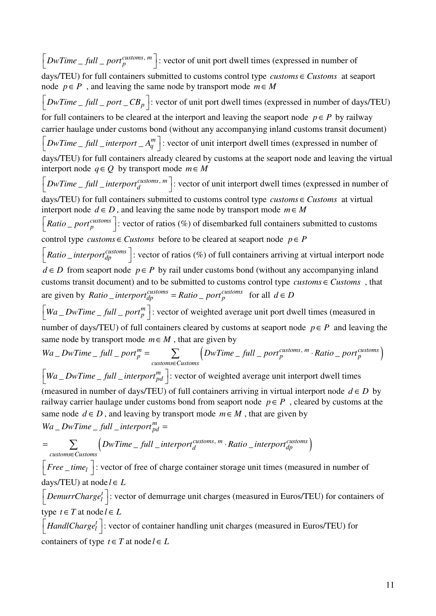$\left[DwTime \_full \_port^{cutsoms, m}\right]$ : vector of unit port dwell times (expressed in number of days/TEU) for full containers submitted to customs control type  $\textit{customs} \in \textit{Customs}$  at seaport node  $p \in P$ , and leaving the same node by transport mode  $m \in M$  $\left[DwTime \_ full \_ port \_ CB_p\right]$ : vector of unit port dwell times (expressed in number of days/TEU) for full containers to be cleared at the interport and leaving the seaport node  $p \in P$  by railway carrier haulage under customs bond (without any accompanying inland customs transit document)  $\left[ DwTime \_full \_interport \_A_q^m \right]$ : vector of unit interport dwell times (expressed in number of days/TEU) for full containers already cleared by customs at the seaport node and leaving the virtual interport node  $q ∈ Q$  by transport mode  $m ∈ M$  $\left[DwTime \_full \_interport^{cutsoms, m}_{d}\right]$ : vector of unit interport dwell times (expressed in number of days/TEU) for full containers submitted to customs control type  $\textit{customs} \in \textit{Customs}$  at virtual interport node  $d \in D$ , and leaving the same node by transport mode  $m \in M$  $\left[Ratio\_port<sub>p</sub><sup>cutstons</sup>\right]$ : vector of ratios (%) of disembarked full containers submitted to customs control type *customs*  $\in$  *Customs* before to be cleared at seaport node  $p \in P$  $\left[Ratio\_interport^{cutsoms}_{dp}\right]$ : vector of ratios (%) of full containers arriving at virtual interport node  $d \in D$  from seaport node  $p \in P$  by rail under customs bond (without any accompanying inland customs transit document) and to be submitted to customs control type *customs*  $\in$  *Customs*, that are given by *Ratio \_interport*<sup>customs</sup> = *Ratio \_ port*<sup>customs</sup> for all  $d \in D$  $\left[ Wa \_{DwTime \_{full} \_{port}^m \right]$ : vector of weighted average unit port dwell times (measured in number of days/TEU) of full containers cleared by customs at seaport node  $p \in P$  and leaving the same node by transport mode  $m \in M$ , that are given by  $\subseteq DwTime\_full\_port_p^m = \qquad \sum \qquad \left(DwTime\_full\_port_p^{cutstons, m} \cdot Ratio\_port_p^{cutstons}\right).$  $p = \sum_{p}$  *Dwitme* Juli port<sub>p</sub> · Natio port<sub>p</sub> *customs Customs*  $Wa\_DwTime\_full\_port_n^m = \sum \left(DwTime\_full\_port_n^{customs,m} \cdot Ratio\_port_m^{m} \right)$ ∈  $=$   $\sum$   $\left(DwTime\_full\_port^{cutstons, m}_{p}\right)$ .  $\left[ Wa\_DwTime\_full\_interport^{m}_{pd} \right]$ : vector of weighted average unit interport dwell times (measured in number of days/TEU) of full containers arriving in virtual interport node  $d \in D$  by railway carrier haulage under customs bond from seaport node  $p \in P$ , cleared by customs at the same node  $d \in D$ , and leaving by transport mode  $m \in M$ , that are given by  $\left(\textit{DwTime\_full\_interport}_{d}^{\textit{customs, m}} \cdot \textit{Ratio\_interport}_{dp}^{\textit{customs}}\right)$  $\_DwTime\_full\_interport^{m}_{po}$  $Wa\_DwTime\_full\_interport^m_{pd} =$ d *d d d d d d d d d d d d d d d d d d d d d d d d d d d d* **d** *d* **d** *d* **d d d d d d** *customs Customs DwTime* \_ full \_interport<sup>customs, m</sup> · Ratio \_interport ∈  $=$   $\sum$   $\left(DwTime\_full\_interport^{cutsoms, m}_{d}\right)$ .  $\left[ \text{Free\_time}_l \right]$ : vector of free of charge container storage unit times (measured in number of days/TEU) at node  $l \in L$  $\left[$  *DemurrCharge*<sup>*t*</sup></sup> $\right]$ : vector of demurrage unit charges (measured in Euros/TEU) for containers of type  $t \in T$  at node  $l \in L$  $\left[$  *HandlCharge*<sup>*t*</sup></sup> $\right]$ : vector of container handling unit charges (measured in Euros/TEU) for

containers of type  $t \in T$  at node  $l \in L$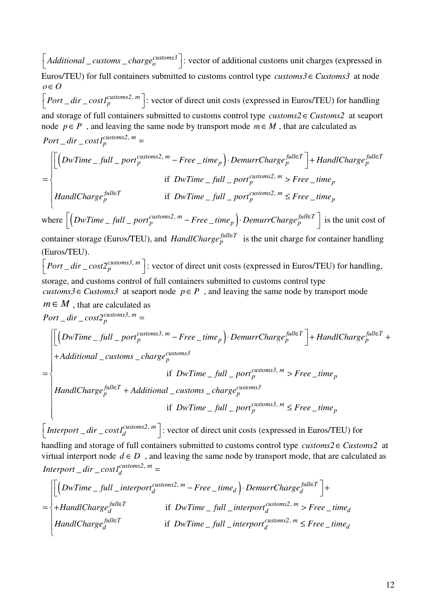$\left[$  *Additional*  $\right]$  *customs*  $\right]$  *charge*<sup>*customs*<sup>3</sup> $\left]$  : vector of additional customs unit charges (expressed in</sup> Euros/TEU) for full containers submitted to customs control type *customs3* ∈ Customs3 at node  $$  $\left[Port\_dir\_costI_p^{customs2, m} \right]$ : vector of direct unit costs (expressed in Euros/TEU) for handling and storage of full containers submitted to customs control type  $\textit{customs2} \in \textit{Customs2}$  at seaport node  $p \in P$ , and leaving the same node by transport mode  $m \in M$ , that are calculated as

$$
Port\_dir\_costI^{customs2, m}_{p} =
$$

$$
= \begin{cases} \left[ \left( DwTime \_full \_port_p^{customs2, m} - Free \_ time_p \right) \cdot DemurrCharge_p^{full \in T} \right] + HandlCharge_p^{full \in T} \\ \text{if } DwTime \_ full \_ port_p^{customs2, m} > Free \_ time_p \\ \text{HandlCharge_p^{full \in T}} & \text{if } DwTime \_ full \_ port_p^{customs2, m} \le Free \_ time_p \end{cases}
$$

where  $\left[ \left( \textit{DwTime}_{-} \textit{full}_{-} \textit{port}_{p}^{\textit{customs2, m}} - \textit{Free}_{-} \textit{time}_{p} \right) \cdot \textit{Demurr} \textit{Charge}_{p}^{\textit{full}\in T} \right]$  $\lfloor$   $(DwTime \_full \_port^{cutsoms2, m} - Free \_time_p \rfloor \cdot DemurrChange_p^{Jull \in I} \rfloor$  is the unit cost of

container storage (Euros/TEU), and *HandlCharge*<sup>fulleT</sup> is the unit charge for container handling (Euros/TEU).

 $\left[Port\_dir\_cost2^{cutsoms3, m}_{p}\right]$ : vector of direct unit costs (expressed in Euros/TEU) for handling, storage, and customs control of full containers submitted to customs control type

*customs3*  $\in$  *Customs3* at seaport node  $p \in P$ , and leaving the same node by transport mode  $m \in M$ , that are calculated as

 $_$ frac{1}{2} *dir*  $_$  *cost* $2_p^{cuts to ms3, m}$  $Port\_dir\_cost2_p^{cutsoms3, m} =$ 

$$
= \begin{cases} \left[ \left( DwTime\_full\_port_p^{cutstons3}, m - Free\_time_p \right) \cdot DemurrChange_p^{full \in T} \right] + HandlChange_p^{full \in T} +
$$
  
+Additional\\_cuts\\_charge\_p^{cutsoms3}  
if DwTime\\_full\\_port\_p^{cutstons3}, m > Free\\_time\_p  
HandlChange\_p^{full \in T} + Additional\\_cutsons\\_charge\_p^{cutstons3}  
if DwTime\\_full\\_port\_p^{cutstons3}, m \le Free\\_time\_p\n\end{cases}

 $_$ frac{1}{C} *cost*  $I_d^{cuts to ms2, m}$  $\left[$  *Interport*  $_{d}$  *dir*  $_{c}$  *cost1*<sup>*customs2*, *m*<sup> ${d}$ </sup> : vector of direct unit costs (expressed in Euros/TEU) for</sup>

handling and storage of full containers submitted to customs control type  $\textit{customs2} \in \textit{Customs2}$  at virtual interport node  $d \in D$ , and leaving the same node by transport mode, that are calculated as  $_$ frac{1}{C} *cost*  $I_d^{\text{customs2, m}}$  $Interport\_dir\_cost1^{cutstons2, m}_{d}$ 

$$
= \begin{cases} \left[ \left(DwTime\_full\_interport_d^{cutstons2, m} - Free\_time_d \right) \cdot DemurrChange_d^{full \in T} \right] + \\ + HandlChange_d^{full \in T} & \text{if } DwTime\_full\_interport_d^{cutstons2, m} > Free\_time_d \\ \text{HandlChange}_d^{full \in T} & \text{if } DwTime\_full\_interport_d^{cutstons2, m} \le Free\_time_d \end{cases}
$$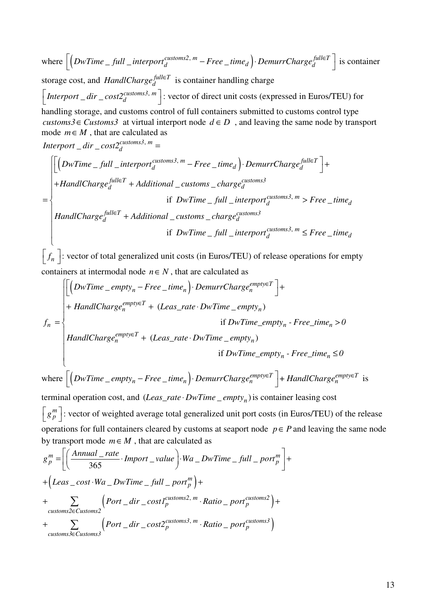where  $\left[$   $\left($  *DwTime*  $_{-}$  *full*  $_{-}$  *interport*<sup>*customs2*, *m*  $-$  *Free*  $_{-}$  *time*<sub>d</sub>  $\right)$ . *DemurrCharge*<sup>*full* $\in$ *T*  $\right]$ </sup></sup>  $\lfloor$  (DwTime \_ full \_interport<sup>customs2, m</sup> – Free \_time<sub>d</sub>) · DemurrCharge<sup>nute1</sup> is container storage cost, and *HandlCharge*<sup> $full \in T$ </sup> is container handling charge  $_$ frac{1}{C} *cost* $2_d^{cuts to ms3, m}$  $\left[$  *Interport*  $_{d}$  *dir*  $_{c}$  *cost2<sup>customs3*, *m*<sup> $_{d}$ </sup> : vector of direct unit costs (expressed in Euros/TEU) for</sup> handling storage, and customs control of full containers submitted to customs control type *customs3*  $\in$  *Customs3* at virtual interport node  $d \in D$ , and leaving the same node by transport mode  $m \in M$ , that are calculated as  $\left(DwTime\_full\_interport_{d}^{cutsoms3, m} - Free\_time_{d}\right)$  $_$ frac{1}{C} *cost* $2_d^{cuts to ms3, m}$  $\_customs\_charge_d^{customss}$  $Interport\_dir\_cost2^{cuts to ms3, m}_{d}$  $\alpha$ *customs3, m*  $\alpha$  *Free* time . DemurrCharge full  $\in$ T  $d$   $=$   $\Gamma$ ree  $_$ ume<sub>d</sub>  $)$ ' Demurr $_$ uarge<sub>d</sub>  $full \in T$   $\perp$  *Additional customs charge customs3 d* + Additional \_customs \_cnarge<sub>d</sub> *DwTime* \_ full \_interport<sup>customs5, m</sup> – Free \_time<sub>d</sub> \ DemurrCharge  $H and lCharge<sub>A</sub><sup>pure</sup> + Additional \_cuts \_charge$ ∈ ∈  $\left[\left(DwTime\_full\_interport^{cuts toms3, m}_{d}-Free\_time_{d}\right)\cdot Demurr Charge^{full}\in T\right]+$  $+$ HandlCharg $e_d^{[null]}\ +$ = if  $DwTime$   $_{-}$  full  $_{-}$  interport<sup>customs3, m</sup>  $>$  Free  $_{-}$  $f_d^{\text{full} \in T}$  + Additional \_ customs \_ charge<sup>customs3</sup>  $DwTime$ <sub> $-$ </sub> full  $\_interport_{d}^{cuts toms3, m}$  > Free  $\_time_{d}$  $H and lCharge_d^{full \in T} + Additional \_\textit{cuts} \_\textit{charge}_d^c$  $\int$  $\overline{a}$  $\overline{a}$  $\overline{\phantom{a}}$  $\overline{\phantom{a}}$ ∤  $\overline{\phantom{a}}$  $\overline{a}$ 

 if  $\text{if } DwTime\_full\_interport_{d}^{cutsoms3, m} \leq Free\_time_{d}$ 

 $\left[ f_n \right]$ : vector of total generalized unit costs (in Euros/TEU) of release operations for empty containers at intermodal node  $n \in N$ , that are calculated as

 $\overline{\phantom{a}}$ 

 $\overline{\mathcal{L}}$ 

$$
f_n = \begin{cases} \left[ \left( DwTime\_empty_n - Free\_time_n \right) \cdot DemurrChange_n^{empty \in T} \right] + \\ + \text{HandlCharge}_n^{empty \in T} + \left( Leas\_rate \cdot DwTime\_empty_n \right) \\ \text{if } DwTime\_empty_n - Free\_time_n > 0 \\ \text{HandlCharge}_n^{empty \in T} + \left( Leas\_rate \cdot DwTime\_empty_n \right) \\ \text{if } DwTime\_empty_n - Free\_time_n \le 0 \end{cases}
$$

where  $\left[ \left( DwTime \_\emptyset pty_n - Free \_\emptyset pene_n \right) \cdot DemurrCharge_n^{empty \in T} \right] + HandlCharge_n^{empty \in T}$  $\lfloor (DwTime\_empty_n - Free\_time_n) \cdot DemurrChange_n^{empty \in I} \rfloor + HandlChange_n^{empty \in I}$  is

terminal operation cost, and  $(Leas\_rate \cdot DwTime\_empty_n)$  is container leasing cost  $\left[g_{p}^{m}\right]$ : vector of weighted average total generalized unit port costs (in Euros/TEU) of the release operations for full containers cleared by customs at seaport node  $p \in P$  and leaving the same node by transport mode  $m \in M$ , that are calculated as

$$
g_p^m = \left[ \left( \frac{Annual\_rate}{365} \cdot Import\_value \right) \cdot Wa\_DwTime\_full\_port_p^m \right] +
$$
  
+  $\left( Least\_cost \cdot Wa\_DwTime\_full\_port_p^m \right) +$   
+  $\sum_{\text{customs2} \in Customs2} \left( Port\_dir\_cost1_p^{\text{customs2}, m} \cdot Ratio\_port_p^{\text{customs2}} \right) +$   
+  $\sum_{\text{customs3} \in Customs3} \left( Port\_dir\_cost2_p^{\text{customs3}, m} \cdot Ratio\_port_p^{\text{customs3}} \right)$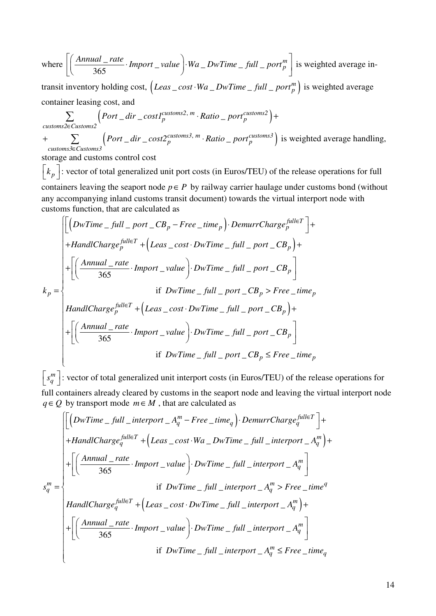where 
$$
\left[ \left( \frac{Annual\_rate}{365} \cdot Import\_value \right) \cdot Wa\_DwTime\_full\_port_p^m \right]
$$
 is weighted average in-

transit inventory holding cost,  $\left( Least\_cost \cdot Wa\_DwTime\_full\_port_p^m \right)$  is weighted average container leasing cost, and

$$
\sum_{\text{customs2} \in \text{Customs2}} \Big( Port\_dir\_cost1_p^{\text{cutstoms2}, m} \cdot Ratio\_port_p^{\text{cutstoms2}} \Big) +
$$
  
+ 
$$
\sum_{\text{customs3} \in \text{Customs3}} \Big( Port\_dir\_cost2_p^{\text{cutforms3}, m} \cdot Ratio\_port_p^{\text{cutstoms3}} \Big) \text{ is weighted average handling,}
$$

storage and customs control cost

 $\left[k_p\right]$ : vector of total generalized unit port costs (in Euros/TEU) of the release operations for full containers leaving the seaport node  $p \in P$  by railway carrier haulage under customs bond (without any accompanying inland customs transit document) towards the virtual interport node with customs function, that are calculated as

$$
k_p = \begin{cases}\n\left[\left(DwTime \_full\_port\_CB_p - Free\_time_p\right) \cdot DemurrChange_p^{full \in T}\right] +\n\end{cases}
$$
\n
$$
+ HandlChange_p^{full \in T} + \left(Leas \_cost \cdot DwTime \_ full\_port\_CB_p\right) +\n\left[\left(\frac{Annual\_rate}{365} \cdot Import\_value\right) \cdot DwTime \_ full\_port\_CB_p\right]
$$
\n
$$
= find\_part\_CB_p > Free\_time_p
$$
\n
$$
H and lChange_p^{full \in T} + \left(Leas \_ cost \cdot DwTime \_ full\_port\_CB_p\right) +\n\left[\left(\frac{Annual\_rate}{365} \cdot Import\_value\right) \cdot DwTime \_ full\_port\_CB_p\right]
$$
\n
$$
= find\_part\_CB_p
$$
\n
$$
= find\_port\_CB_p
$$
\n
$$
= find\_port\_CB_p
$$

*m*  $\left[s_q^m\right]$ : vector of total generalized unit interport costs (in Euros/TEU) of the release operations for full containers already cleared by customs in the seaport node and leaving the virtual interport node  $q \in Q$  by transport mode  $m \in M$ , that are calculated as

$$
s_q^m = \begin{cases} \left[ \left( DwTime\_full\_interport\_A_q^m - Free\_time_q \right) \cdot DemurrChange_q^{\text{full}} \right] + \\ + \left[ \left( \frac{Annual\_rate}{365} \cdot Import\_value \right) \cdot DwTime\_full\_interport\_A_q^m \right) + \\ + \left[ \left( \frac{Annual\_rate}{365} \cdot Import\_value \right) \cdot DwTime\_full\_interport\_A_q^m \right] \\ & \text{if } DwTime\_full\_interport\_A_q^m > Free\_time^q \\ \end{cases}
$$
  
\n
$$
+ \left[ \left( \frac{Annual\_rate}{365} \cdot Import\_value \right) \cdot DwTime\_full\_interport\_A_q^m \right) + \\ + \left[ \left( \frac{Annual\_rate}{365} \cdot Import\_value \right) \cdot DwTime\_full\_interport\_A_q^m \right] \\ & \text{if } DwTime\_full\_interport\_A_q^m \le Free\_time_q \end{cases}
$$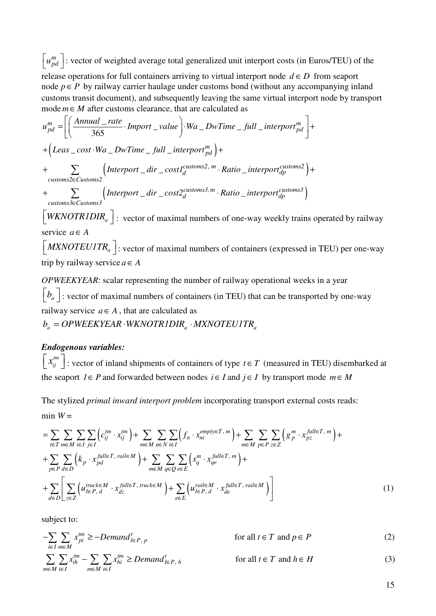$\begin{bmatrix} u_{pd}^m \end{bmatrix}$ : vector of weighted average total generalized unit interport costs (in Euros/TEU) of the release operations for full containers arriving to virtual interport node  $d \in D$  from seaport node  $p \in P$  by railway carrier haulage under customs bond (without any accompanying inland customs transit document), and subsequently leaving the same virtual interport node by transport mode  $m \in M$  after customs clearance, that are calculated as

$$
u_{pd}^{m} = \left[ \left( \frac{Annual\_rate}{365} \cdot Import\_value \right) \cdot Wa\_DwTime\_full\_interport_{pd}^{m} \right] +
$$
  
+  $\left( \text{Leas}\_{cost} \cdot Wa\_DwTime\_full\_interport_{pd}^{m} \right) +$   
+  $\sum_{\text{customs2} \in \text{Customs2}} \left( \text{Interport}\_{dir}\_{\text{cost2}^{Customs2}, m} \cdot \text{Ratio}\_{\text{interport}\_{dp}^{Customs2}} \right) +$   
+  $\sum_{\text{customs3} \in \text{Customs3}} \left( \text{Interport}\_{dir}\_{\text{cost2}^{Customs3}, m} \cdot \text{Ratio}\_{\text{interport}\_{dp}^{Customs3}} \right)$   
[*WKNOTRIDIR*<sub>a</sub>]: vector of maximal numbers of one-way weekly trains operated by railway

 $\left[$  *MXNOTEU1TR*<sub>a</sub> $\left]$ : vector of maximal numbers of containers (expressed in TEU) per one-way trip by railway service  $a \in A$ 

*OPWEEKYEAR*: scalar representing the number of railway operational weeks in a year  $\left[b_a\right]$ : vector of maximal numbers of containers (in TEU) that can be transported by one-way railway service  $a \in A$ , that are calculated as

 $b_a = OPWEEXYEAR \cdot WKNOTRIDIR_a \cdot MXNOTEUITR_a$ 

### *Endogenous variables:*

service  $a \in A$ 

 $\left[ x_{ij}^{tm} \right]$ : vector of inland shipments of containers of type *t*  $\in$  *T* (measured in TEU) disembarked at the seaport  $I \in P$  and forwarded between nodes  $i \in I$  and  $j \in I$  by transport mode  $m \in M$ 

The stylized *primal inward interport problem* incorporating transport external costs reads: min  $W =$ 

$$
= \sum_{t \in T} \sum_{m \in M} \sum_{i \in I} \sum_{j \in I} \left( c_{ij}^{tm} \cdot x_{ij}^{tm} \right) + \sum_{m \in M} \sum_{n \in N} \sum_{i \in I} \left( f_n \cdot x_{ni}^{empty \in T, m} \right) + \sum_{m \in M} \sum_{p \in P} \sum_{z \in Z} \left( g_p^m \cdot x_{pz}^{full \in T, m} \right) + \sum_{p \in P} \sum_{d \in D} \left( k_p \cdot x_{pd}^{full \in T, \,raise M} \right) + \sum_{m \in M} \sum_{q \in Q} \sum_{e \in E} \left( s_q^m \cdot x_{qe}^{full \in T, m} \right) + \sum_{d \in D} \sum_{z \in Z} \left( u_{I \in P, d}^{true \in M} \cdot x_{dz}^{full \in T, \,rule M} \right) + \sum_{e \in E} \left( u_{I \in P, d}^{raise M} \cdot x_{de}^{full \in T, \,raise M} \right) \right)
$$
(1)

subject to:

$$
-\sum_{i\in I}\sum_{m\in M}x_{pi}^{tm}\ge-Demand_{I\in P,\ p}^{t}
$$
 for all  $t\in T$  and  $p\in P$  (2)

$$
\sum_{m \in M} \sum_{i \in I} x_{ih}^{tm} - \sum_{m \in M} \sum_{i \in I} x_{hi}^{tm} \geq Demand_{I \in P, h}^{t}
$$
 for all  $t \in T$  and  $h \in H$  (3)

15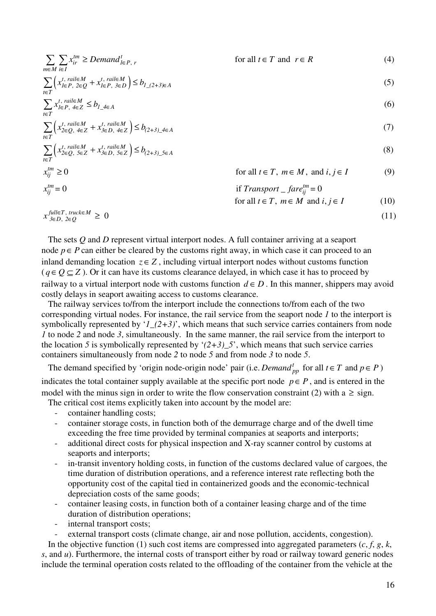$$
\sum_{m \in M} \sum_{i \in I} x_{ir}^{tm} \geq Demand_{i \in P, r}^{t} \qquad \text{for all } t \in T \text{ and } r \in R \qquad (4)
$$
\n
$$
\sum_{t \in T} \left( x_{i \in P, 2 \in Q}^{t, \text{raise } M} + x_{i \in P, 3 \in D}^{t, \text{raise } M} \right) \leq b_{1,(2+3) \in A} \qquad (5)
$$
\n
$$
\sum_{t \in T} x_{i \in P, 4 \in Z}^{t, \text{raise } M} \leq b_{1,4 \in A} \qquad (6)
$$
\n
$$
\sum_{t \in T} \left( x_{2 \in Q, 4 \in Z}^{t, \text{raise } M} + x_{3 \in D, 4 \in Z}^{t, \text{raise } M} \right) \leq b_{(2+3), 4 \in A} \qquad (7)
$$
\n
$$
\sum_{t \in T} \left( x_{2 \in Q, 5 \in Z}^{t, \text{raise } M} + x_{3 \in D, 5 \in Z}^{t, \text{raise } M} \right) \leq b_{(2+3), 5 \in A} \qquad (8)
$$
\n
$$
x_{ij}^{tm} \geq 0 \qquad \text{for all } t \in T, m \in M, \text{ and } i, j \in I \qquad (9)
$$
\n
$$
x_{ij}^{tm} = 0 \qquad \text{if } Transport \_ \text{fare}_{ij}^{tm} = 0
$$

$$
\text{for all } t \in T, \ m \in M \text{ and } i, j \in I \tag{10}
$$
\n
$$
x_{3 \in D, 2 \in Q}^{\text{full} \in T, \text{ truck} \in M} \ge 0 \tag{11}
$$

The sets *Q* and *D* represent virtual interport nodes. A full container arriving at a seaport node  $p \in P$  can either be cleared by the customs right away, in which case it can proceed to an inland demanding location  $z \in Z$ , including virtual interport nodes without customs function  $(q \in Q \subset Z)$ . Or it can have its customs clearance delayed, in which case it has to proceed by railway to a virtual interport node with customs function  $d \in D$ . In this manner, shippers may avoid costly delays in seaport awaiting access to customs clearance.

The railway services to/from the interport include the connections to/from each of the two corresponding virtual nodes. For instance, the rail service from the seaport node *1* to the interport is symbolically represented by '*1\_(2+3)*', which means that such service carries containers from node *1* to node *2* and node *3*, simultaneously. In the same manner, the rail service from the interport to the location 5 is symbolically represented by ' $(2+3)$  5', which means that such service carries containers simultaneously from node *2* to node *5* and from node *3* to node *5*.

The demand specified by 'origin node-origin node' pair (i.e. *Demand*  $_{nn}^t$  for all  $t \in T$  and  $p \in P$ ) indicates the total container supply available at the specific port node  $p \in P$ , and is entered in the model with the minus sign in order to write the flow conservation constraint (2) with a  $\geq$  sign.

The critical cost items explicitly taken into account by the model are:

- container handling costs;
- container storage costs, in function both of the demurrage charge and of the dwell time exceeding the free time provided by terminal companies at seaports and interports;
- additional direct costs for physical inspection and X-ray scanner control by customs at seaports and interports;
- in-transit inventory holding costs, in function of the customs declared value of cargoes, the time duration of distribution operations, and a reference interest rate reflecting both the opportunity cost of the capital tied in containerized goods and the economic-technical depreciation costs of the same goods;
- container leasing costs, in function both of a container leasing charge and of the time duration of distribution operations;
- internal transport costs;
- external transport costs (climate change, air and nose pollution, accidents, congestion).

In the objective function (1) such cost items are compressed into aggregated parameters  $(c, f, g, k,$ *s*, and *u*). Furthermore, the internal costs of transport either by road or railway toward generic nodes include the terminal operation costs related to the offloading of the container from the vehicle at the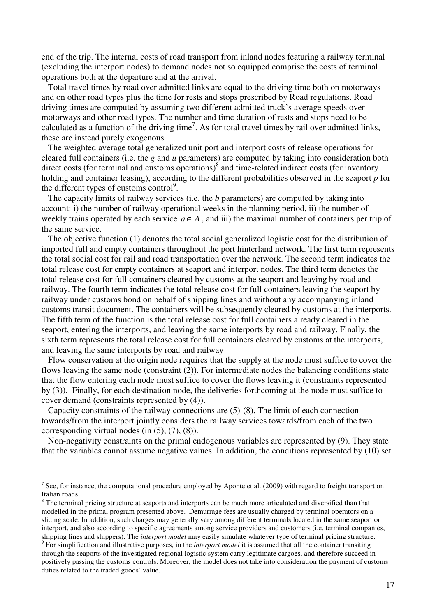end of the trip. The internal costs of road transport from inland nodes featuring a railway terminal (excluding the interport nodes) to demand nodes not so equipped comprise the costs of terminal operations both at the departure and at the arrival.

Total travel times by road over admitted links are equal to the driving time both on motorways and on other road types plus the time for rests and stops prescribed by Road regulations. Road driving times are computed by assuming two different admitted truck's average speeds over motorways and other road types. The number and time duration of rests and stops need to be calculated as a function of the driving time<sup>7</sup>. As for total travel times by rail over admitted links, these are instead purely exogenous.

The weighted average total generalized unit port and interport costs of release operations for cleared full containers (i.e. the *g* and *u* parameters) are computed by taking into consideration both direct costs (for terminal and customs operations) $\delta$  and time-related indirect costs (for inventory holding and container leasing), according to the different probabilities observed in the seaport *p* for the different types of customs control $9$ .

The capacity limits of railway services (i.e. the *b* parameters) are computed by taking into account: i) the number of railway operational weeks in the planning period, ii) the number of weekly trains operated by each service  $a \in A$ , and iii) the maximal number of containers per trip of the same service.

The objective function (1) denotes the total social generalized logistic cost for the distribution of imported full and empty containers throughout the port hinterland network. The first term represents the total social cost for rail and road transportation over the network. The second term indicates the total release cost for empty containers at seaport and interport nodes. The third term denotes the total release cost for full containers cleared by customs at the seaport and leaving by road and railway. The fourth term indicates the total release cost for full containers leaving the seaport by railway under customs bond on behalf of shipping lines and without any accompanying inland customs transit document. The containers will be subsequently cleared by customs at the interports. The fifth term of the function is the total release cost for full containers already cleared in the seaport, entering the interports, and leaving the same interports by road and railway. Finally, the sixth term represents the total release cost for full containers cleared by customs at the interports, and leaving the same interports by road and railway

Flow conservation at the origin node requires that the supply at the node must suffice to cover the flows leaving the same node (constraint (2)). For intermediate nodes the balancing conditions state that the flow entering each node must suffice to cover the flows leaving it (constraints represented by (3)). Finally, for each destination node, the deliveries forthcoming at the node must suffice to cover demand (constraints represented by (4)).

Capacity constraints of the railway connections are (5)-(8). The limit of each connection towards/from the interport jointly considers the railway services towards/from each of the two corresponding virtual nodes (in (5), (7), (8)).

Non-negativity constraints on the primal endogenous variables are represented by (9). They state that the variables cannot assume negative values. In addition, the conditions represented by (10) set

 $\overline{a}$ 

<sup>&</sup>lt;sup>7</sup> See, for instance, the computational procedure employed by Aponte et al. (2009) with regard to freight transport on Italian roads.

<sup>&</sup>lt;sup>8</sup> The terminal pricing structure at seaports and interports can be much more articulated and diversified than that modelled in the primal program presented above. Demurrage fees are usually charged by terminal operators on a sliding scale. In addition, such charges may generally vary among different terminals located in the same seaport or interport, and also according to specific agreements among service providers and customers (i.e. terminal companies, shipping lines and shippers). The *interport model* may easily simulate whatever type of terminal pricing structure.

<sup>&</sup>lt;sup>9</sup> For simplification and illustrative purposes, in the *interport model* it is assumed that all the container transiting through the seaports of the investigated regional logistic system carry legitimate cargoes, and therefore succeed in positively passing the customs controls. Moreover, the model does not take into consideration the payment of customs duties related to the traded goods' value.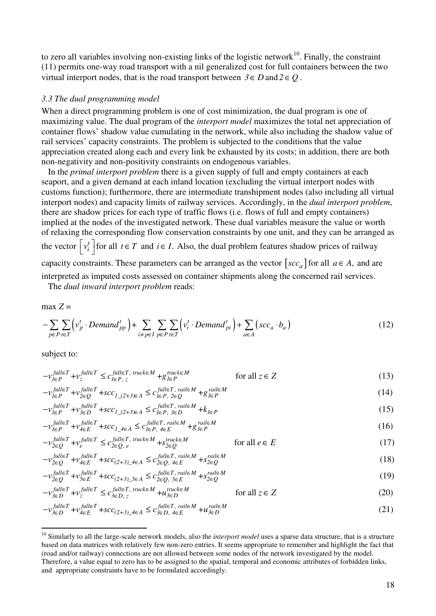to zero all variables involving non-existing links of the logistic network $10$ . Finally, the constraint (11) permits one-way road transport with a nil generalized cost for full containers between the two virtual interport nodes, that is the road transport between  $3 \in D$  and  $2 \in O$ .

#### *3.3 The dual programming model*

When a direct programming problem is one of cost minimization, the dual program is one of maximizing value. The dual program of the *interport model* maximizes the total net appreciation of container flows' shadow value cumulating in the network, while also including the shadow value of rail services' capacity constraints. The problem is subjected to the conditions that the value appreciation created along each and every link be exhausted by its costs; in addition, there are both non-negativity and non-positivity constraints on endogenous variables.

In the *primal interport problem* there is a given supply of full and empty containers at each seaport, and a given demand at each inland location (excluding the virtual interport nodes with customs function); furthermore, there are intermediate transhipment nodes (also including all virtual interport nodes) and capacity limits of railway services. Accordingly, in the *dual interport problem*, there are shadow prices for each type of traffic flows (i.e. flows of full and empty containers) implied at the nodes of the investigated network. These dual variables measure the value or worth of relaxing the corresponding flow conservation constraints by one unit, and they can be arranged as the vector  $\begin{bmatrix} v_i^t \end{bmatrix}$  for all  $t \in T$  and  $i \in I$ . Also, the dual problem features shadow prices of railway capacity constraints. These parameters can be arranged as the vector  $\left[ \sec \ a \right]$  for all  $a \in A$ , and are interpreted as imputed costs assessed on container shipments along the concerned rail services.

The *dual inward interport problem* reads:

 $max Z =$ 

$$
-\sum_{p\in P}\sum_{t\in T}\left(v_p^t\cdot Demand_{pp}^t\right)+\sum_{i\neq p\in I}\sum_{p\in P}\sum_{t\in T}\left(v_i^t\cdot Demand_{pi}^t\right)+\sum_{a\in A}\left(scc_a\cdot b_a\right)
$$
\n(12)

subject to:

 $\overline{a}$ 

$$
-v_{I\in P}^{\text{full}\in T} + v_{z}^{\text{full}\in T} \le c_{I\in P, z}^{\text{full}\in T, \text{ truck}\in M} + g_{I\in P}^{\text{truck}\in M} \qquad \text{for all } z \in Z
$$
 (13)

$$
-v_{I\in P}^{\text{full}\in T} + v_{2\in Q}^{\text{full}\in T} + \text{scc}_{I_{-(2+3)\in A}} \le c_{I\in P, 2\in Q}^{\text{full}\in T, \text{raise } M} + g_{I\in P}^{\text{raise } M} \tag{14}
$$

$$
-v_{I\in P}^{full\in T} + v_{3\in D}^{full\in T} + \text{SCc}_{I_{\text{}}(2+3)\in A} \le c_{I\in P, 3\in D}^{full\in T, \text{ } \text{ } rali\in M} + k_{I\in P}
$$
\n
$$
\tag{15}
$$

$$
-v_{I\in P}^{\text{full}\in T} + v_{\text{4}\in E}^{\text{full}\in T} + \text{scc}_{I\_{\text{4}\in A}} \le c_{I\in P,\text{4}\in E}^{\text{full}\in T,\text{raise}} + g_{I\in P}^{\text{raise}}\tag{16}
$$

$$
-v_{2 \in Q}^{\text{full} \in T} + v_{e}^{\text{full} \in T} \le c_{2 \in Q, e}^{\text{full} \in T, \text{ truck} \in M} + s_{2 \in Q}^{\text{truck} \in M} \qquad \text{for all } e \in E
$$
 (17)

$$
-v_{2 \in Q}^{\text{full} \in T} + v_{4 \in E}^{\text{full} \in T} + \text{scc}_{(2+3)\_\text{4} \in A} \leq c_{2 \in Q, 4 \in E}^{\text{full} \in T, \text{raise } M} + \text{s}^{\text{raise } M}_{2 \in Q} \tag{18}
$$

$$
-v_{2 \in Q}^{\text{full} \in T} + v_{5 \in E}^{\text{full} \in T} + \text{scc}_{(2+3)\_5 \in A} \leq c_{2 \in Q, 5 \in E}^{\text{full} \in T, \text{raise } M} + s_{2 \in Q}^{\text{rule } M} \tag{19}
$$

$$
-v_{\lambda \in D}^{\text{full} \in T} + v_z^{\text{full} \in T} \le c_{\lambda \in D, z}^{\text{full} \in T, \text{ truck} \in M} + u_{\lambda \in D}^{\text{truck} \in M} \qquad \text{for all } z \in Z
$$
 (20)

$$
-v_{3\in D}^{\text{full}\in T} + v_{4\in E}^{\text{full}\in T} + \text{scc}_{(2+3)\_4\in A} \le c_{3\in D,\ 4\in E}^{\text{full}\in T,\ \text{raise } M} + u_{3\in D}^{\text{raise } M} \tag{21}
$$

<sup>&</sup>lt;sup>10</sup> Similarly to all the large-scale network models, also the *interport model* uses a sparse data structure, that is a structure based on data matrices with relatively few non-zero entries. It seems appropriate to remember and highlight the fact that (road and/or railway) connections are not allowed between some nodes of the network investigated by the model. Therefore, a value equal to zero has to be assigned to the spatial, temporal and economic attributes of forbidden links, and appropriate constraints have to be formulated accordingly.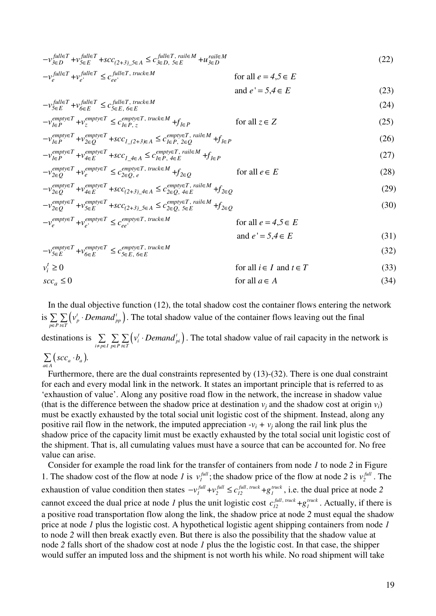$$
-v_{\mathcal{S}\in D}^{\text{full}\in T} + v_{\mathcal{S}\in E}^{\text{full}\in T} + \text{SCC}_{(2+3)\_\mathcal{S}\in A} \le c_{\mathcal{S}\in D,\ \mathcal{S}\in E}^{\text{full}\in T,\ \text{raise } M} + u_{\mathcal{S}\in D}^{\text{raise } M} \tag{22}
$$

$$
-v_e^{full \in T} + v_{e'}^{full \in T} \le c_{ee'}^{full \in T, \ true \in M} \qquad \text{for all } e = 4, 5 \in E
$$

$$
and e' = 5, 4 \in E
$$
 (23)

$$
-v_{\mathcal{S}\in E}^{\text{full}\in T} + v_{\mathcal{S}\in E}^{\text{full}\in T, \text{ truck}\in M} \tag{24}
$$

$$
-v_{I\in P}^{empty \in T} + v_z^{empty \in T} \le c_{I\in P, z}^{empty \in T, \; true \in M} + f_{I\in P} \qquad \text{for all } z \in Z
$$
 (25)

$$
-v_{I\in P}^{empty\in T} + v_{2\in Q}^{empty\in T} + \mathit{SCC}_{1,(2+3)\in A} \le c_{I\in P, 2\in Q}^{empty\in T, \text{ rail}\in M} + f_{I\in P}
$$
\n
$$
(26)
$$

, , + + + (27) *empty T empty T empty T rail M 1 P 1 P 4 E 4 E 1\_4 A 1 P v v scc c f* ∈ ∈ ∈ ∈ − ≤ ∈ ∈ ∈ <sup>∈</sup> ∈ ∈ , ∈ ∈ ∈ ∈

$$
-v_{2 \in Q}^{empty \in T} + v_e^{empty \in T} \le c_{2 \in Q, e}^{empty \in T, \ true \in M} + f_{2 \in Q} \qquad \text{for all } e \in E
$$
 (28)

$$
-v_{2 \in Q}^{empty \in T} + v_{4 \in E}^{empty \in T} + scc_{(2+3)\_4 \in A} \leq c_{2 \in Q, 4 \in E}^{empty \in T, \text{raise } M} + f_{2 \in Q}
$$
\n
$$
\leq c_{2 \in Q, 4 \in E}^{empty \in T, \text{raise } M} + f_{2 \in Q}
$$
\n
$$
\leq c_{2 \in Q, 4 \in E}^{empty \in T, \text{raise } M} + f
$$
\n
$$
\leq c_{2 \in Q, 4 \in E}^{empty \in T, \text{raise } M} + f
$$
\n
$$
\leq c_{2 \in Q, 4 \in E}^{empty \in T, \text{raise } M} + f
$$
\n
$$
\leq c_{2 \in Q, 4 \in E}^{empty \in T, \text{raise } M} + f
$$
\n
$$
\leq c_{2 \in Q, 4 \in E}^{empty \in T, \text{raise } M} + f
$$
\n
$$
\leq c_{2 \in Q, 4 \in E}^{empty \in T} + scc_{2 \in Q, 4 \in E}^{empty \in T} + scc_{2 \in Q, 4 \in E}^{empty \in T} + scc_{2 \in Q, 4 \in E}^{empty \in T} + scc_{2 \in Q, 4 \in E}^{empty \in T} + scc_{2 \in Q, 4 \in E}^{empty \in T} + scc_{2 \in Q, 4 \in E}^{empty \in T} + scc_{2 \in Q, 4 \in E}^{empty \in T} + scc_{2 \in Q, 4 \in E}^{empty \in T} + scc_{2 \in Q, 4 \in E}^{empty \in T} + scc_{2 \in Q, 4 \in E}^{empty \in T} + scc_{2 \in Q, 4 \in E}^{empty \in T} + scc_{2 \in Q, 4 \in E}^{empty \in T} + scc_{2 \in Q, 4 \in E}^{empty \in T} + scc_{2 \in Q, 4 \in E}^{empty \in T} + scc_{2 \in Q, 4 \in E}^{empty \in T} + scc_{2 \in Q, 4 \in E}^{empty \in T} + scc_{2 \in Q, 4 \in E}^{empty \in T} + scc_{2 \in Q, 4 \in E}^{empty \in T} + scc_{2 \in Q, 4 \in E}^{empty \in T} + scc_{2
$$

, + + + (30) *empty T empty T empty T rail M 2 Q 5 E (2+3)\_5 A 2 Q 2 Q 5 E v v scc c f* ∈ ∈ ∈ ∈ <sup>∈</sup> <sup>∈</sup> ∈ ∈ ∈ ∈ − ≤ , + for all , ' ' *empty T empty T empty T truck M <sup>e</sup> e ee v v c e 4 5 E* <sup>∈</sup> ∈ ∈ ∈ − ≤ = ∈

$$
\begin{array}{ll}\n\mathbf{v}_e & \mathbf{v}_e \\
\mathbf{v}_e & \mathbf{v}_e\n\end{array}\n\tag{31}
$$
\n
$$
\text{and } e' = 5, 4 \in E
$$

$$
-v_{5\in E}^{empty \in T} + v_{6\in E}^{empty \in T} \le c_{5\in E, 6\in E}^{empty \in T, true \in M}
$$
\n(32)

$$
v_i^t \ge 0 \qquad \text{for all } i \in I \text{ and } t \in T \tag{33}
$$
  

$$
\sec_a \le 0 \qquad \text{for all } a \in A \tag{34}
$$

In the dual objective function (12), the total shadow cost the container flows entering the network is  $\sum \sum (v_p^t \cdot Demand_{pp}^t)$  $\sum_{p \in P} \sum_{t \in T} {V_p}$  *Demand*  $_{pp}$  $v_n^t \cdot Demand$  $\in P$  t $\in$  $\sum \sum (v_p^t \cdot Demand_{\text{nn}}^t)$ . The total shadow value of the container flows leaving out the final destinations is  $\sum \sum \sum (v_i^t \cdot Demand_{pi}^t)$  $\sum_{i \neq p \in I} \sum_{p \in P} \sum_{t \in T} (v_i \cdot \text{Denomial}_{pi})$  $v_i^t \cdot Demand$ ≠  $p \in I$   $p \in P$   $t \in$  $\sum \sum \sum (v_i^t \cdot Demand_{ni}^t)$ . The total shadow value of rail capacity in the network is  $\sum_{a \in A} (scc_a \cdot b_a).$  $\mathit{scc}_a \cdot b$  $\sum$  (scc<sub>a</sub> ·

∈

Furthermore, there are the dual constraints represented by (13)-(32). There is one dual constraint for each and every modal link in the network. It states an important principle that is referred to as 'exhaustion of value'. Along any positive road flow in the network, the increase in shadow value (that is the difference between the shadow price at destination  $v_j$  and the shadow cost at origin  $v_i$ ) must be exactly exhausted by the total social unit logistic cost of the shipment. Instead, along any positive rail flow in the network, the imputed appreciation  $-v_i + v_j$  along the rail link plus the shadow price of the capacity limit must be exactly exhausted by the total social unit logistic cost of the shipment. That is, all cumulating values must have a source that can be accounted for. No free value can arise.

Consider for example the road link for the transfer of containers from node *1* to node *2* in Figure 1. The shadow cost of the flow at node *1* is  $v_l^{full}$ ;  $v_1^{full}$ ; the shadow price of the flow at node 2 is  $v_2^{full}$ . The exhaustion of value condition then states  $-v_1^{full} + v_2^{full} \le c_{12}^{full, \; true} + g_1^{true},$  i.e. the dual price at node 2 cannot exceed the dual price at node *1* plus the unit logistic cost  $c_{12}^{full, \, track} + g_1^{true}$ . Actually, if there is a positive road transportation flow along the link, the shadow price at node *2* must equal the shadow price at node *1* plus the logistic cost. A hypothetical logistic agent shipping containers from node *1* to node *2* will then break exactly even. But there is also the possibility that the shadow value at node *2* falls short of the shadow cost at node *1* plus the the logistic cost. In that case, the shipper would suffer an imputed loss and the shipment is not worth his while. No road shipment will take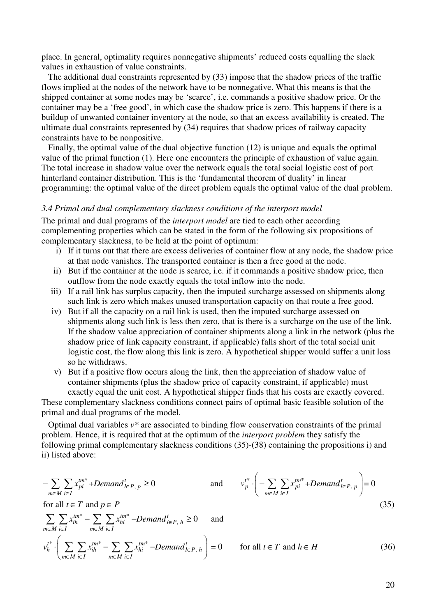place. In general, optimality requires nonnegative shipments' reduced costs equalling the slack values in exhaustion of value constraints.

The additional dual constraints represented by (33) impose that the shadow prices of the traffic flows implied at the nodes of the network have to be nonnegative. What this means is that the shipped container at some nodes may be 'scarce', i.e. commands a positive shadow price. Or the container may be a 'free good', in which case the shadow price is zero. This happens if there is a buildup of unwanted container inventory at the node, so that an excess availability is created. The ultimate dual constraints represented by (34) requires that shadow prices of railway capacity constraints have to be nonpositive.

Finally, the optimal value of the dual objective function (12) is unique and equals the optimal value of the primal function (1). Here one encounters the principle of exhaustion of value again. The total increase in shadow value over the network equals the total social logistic cost of port hinterland container distribution. This is the 'fundamental theorem of duality' in linear programming: the optimal value of the direct problem equals the optimal value of the dual problem.

### *3.4 Primal and dual complementary slackness conditions of the interport model*

The primal and dual programs of the *interport model* are tied to each other according complementing properties which can be stated in the form of the following six propositions of complementary slackness, to be held at the point of optimum:

- i) If it turns out that there are excess deliveries of container flow at any node, the shadow price at that node vanishes. The transported container is then a free good at the node.
- ii) But if the container at the node is scarce, i.e. if it commands a positive shadow price, then outflow from the node exactly equals the total inflow into the node.
- iii) If a rail link has surplus capacity, then the imputed surcharge assessed on shipments along such link is zero which makes unused transportation capacity on that route a free good.
- iv) But if all the capacity on a rail link is used, then the imputed surcharge assessed on shipments along such link is less then zero, that is there is a surcharge on the use of the link. If the shadow value appreciation of container shipments along a link in the network (plus the shadow price of link capacity constraint, if applicable) falls short of the total social unit logistic cost, the flow along this link is zero. A hypothetical shipper would suffer a unit loss so he withdraws.
- v) But if a positive flow occurs along the link, then the appreciation of shadow value of container shipments (plus the shadow price of capacity constraint, if applicable) must exactly equal the unit cost. A hypothetical shipper finds that his costs are exactly covered.

These complementary slackness conditions connect pairs of optimal basic feasible solution of the primal and dual programs of the model.

Optimal dual variables *v\** are associated to binding flow conservation constraints of the primal problem. Hence, it is required that at the optimum of the *interport problem* they satisfy the following primal complementary slackness conditions (35)-(38) containing the propositions i) and ii) listed above:

$$
-\sum_{m\in M}\sum_{i\in I}x_{pi}^{tm^*}+Demand_{I\in P,\ p}\geq 0
$$
 and 
$$
v_p^{t^*}\cdot\left(-\sum_{m\in M}\sum_{i\in I}x_{pi}^{tm^*}+Demand_{I\in P,\ p}\right)=0
$$

for all  $t \in T$  and  $p \in P$ 

$$
\sum_{m \in M} \sum_{i \in I} x_{ih}^{tm^{*}} - \sum_{m \in M} \sum_{i \in I} x_{hi}^{tm^{*}} - Demand_{I \in P, h}^{t} \ge 0 \quad \text{and}
$$
\n
$$
v_{h}^{t^{*}} \cdot \left( \sum_{m \in M} \sum_{i \in I} x_{ih}^{tm^{*}} - \sum_{m \in M} \sum_{i \in I} x_{hi}^{tm^{*}} - Demand_{I \in P, h}^{t} \right) = 0 \quad \text{for all } t \in T \text{ and } h \in H
$$
\n(36)

 $\left( \begin{array}{ccc} \sqrt{2} & \sqrt{2} & \sqrt{2} & \sqrt{2} & \sqrt{2} & \sqrt{2} & \sqrt{2} & \sqrt{2} & \sqrt{2} & \sqrt{2} & \sqrt{2} & \sqrt{2} & \sqrt{2} & \sqrt{2} & \sqrt{2} & \sqrt{2} & \sqrt{2} & \sqrt{2} & \sqrt{2} & \sqrt{2} & \sqrt{2} & \sqrt{2} & \sqrt{2} & \sqrt{2} & \sqrt{2} & \sqrt{2} & \sqrt{2} & \sqrt{2} & \sqrt{2} & \sqrt{2} & \sqrt{2} & \sqrt{2} & \sqrt{2} & \sqrt{2} & \sqrt{2} &$ 

(35)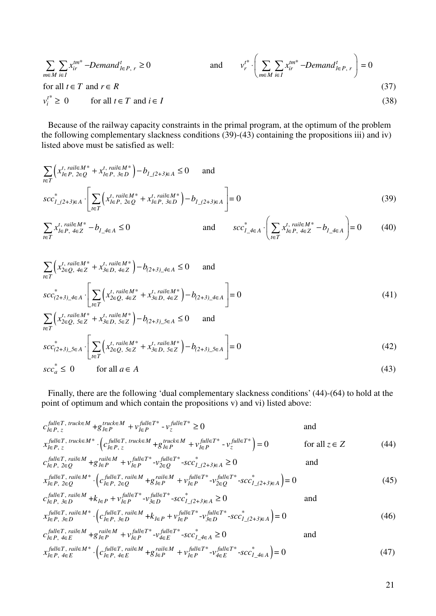$$
\sum_{m \in M} \sum_{i \in I} x_{ir}^{tm^*} - Demand_{I \in P, r}^t \ge 0 \qquad \text{and} \qquad v_r^{t^*} \cdot \left( \sum_{m \in M} \sum_{i \in I} x_{ir}^{tm^*} - Demand_{I \in P, r}^t \right) = 0
$$
\n
$$
\text{for all } t \in T \text{ and } r \in R \qquad (37)
$$
\n
$$
v_i^{t^*} \ge 0 \qquad \text{for all } t \in T \text{ and } i \in I \qquad (38)
$$

Because of the railway capacity constraints in the primal program, at the optimum of the problem the following complementary slackness conditions  $(39)-(43)$  containing the propositions iii) and iv) listed above must be satisfied as well:

$$
\sum_{t \in T} \left( x_{l \in P, 2 \in Q}^{t, \text{ } r \le l \in M^*} + x_{l \in P, 3 \in D}^{t, \text{ } r \le l \in M^*} \right) - b_{1,(2+3)\in A} \le 0 \quad \text{ and}
$$
\n
$$
s c c_{1,(2+3)\in A}^* \cdot \left[ \sum_{t \in T} \left( x_{l \in P, 2 \in Q}^{t, \text{ } r \le l \le M^*} + x_{l \in P, 3 \in D}^{t, \text{ } r \le l \le M^*} \right) - b_{1,(2+3)\in A} \right] = 0 \tag{39}
$$

$$
\sum_{t \in T} x_{l \in P, 4 \in Z}^{t, \text{raise } M^*} - b_{l \_4 \in A} \le 0 \qquad \text{and} \qquad scc_{l \_4 \in A}^* \cdot \left( \sum_{t \in T} x_{l \in P, 4 \in Z}^{t, \text{raise } M^*} - b_{l \_4 \in A} \right) = 0 \qquad (40)
$$

$$
\sum_{t \in T} \left( x_{2 \in Q, 4 \in Z}^{t, \text{raise } M^*} + x_{3 \in D, 4 \in Z}^{t, \text{raise } M^*} \right) - b_{(2+3)\_4 \in A} \le 0 \quad \text{and}
$$
\n
$$
s c c_{(2+3)\_4 \in A}^* \cdot \left[ \sum_{t \in T} \left( x_{2 \in Q, 4 \in Z}^{t, \text{raise } M^*} + x_{3 \in D, 4 \in Z}^{t, \text{rule } M^*} \right) - b_{(2+3)\_4 \in A} \right] = 0 \tag{41}
$$
\n
$$
\sum_{t \in T} \left( x_{2 \in Q, 5 \in Z}^{t, \text{raise } M^*} + x_{3 \in D, 5 \in Z}^{t, \text{rule } M^*} \right) - b_{(2+3)\_5 \in A} \le 0 \quad \text{and}
$$
\n
$$
s c c_{(2+3)\_5 \in A}^* \cdot \left[ \sum_{t \in T} \left( x_{2 \in Q, 5 \in Z}^{t, \text{raise } M^*} + x_{3 \in D, 5 \in Z}^{t, \text{rule } M^*} \right) - b_{(2+3)\_5 \in A} \right] = 0 \tag{42}
$$
\n
$$
s c c_a^* \le 0 \quad \text{for all } a \in A \tag{43}
$$

Finally, there are the following 'dual complementary slackness conditions' (44)-(64) to hold at the point of optimum and which contain the propositions v) and vi) listed above:

$$
c_{I\in P,\,z}^{\text{full}\in T,\,\text{truck}\in M} + g_{I\in P}^{\text{truck}\in M} + v_{I\in P}^{\text{full}\in T^{*}} - v_{z}^{\text{full}\in T^{*}} \ge 0 \qquad \text{and}
$$
\n
$$
x_{I\in P,\,z}^{\text{full}\in T,\,\text{truck}\in M^{*}} \cdot \left( c_{I\in P,\,z}^{\text{full}\in T,\,\text{truck}\in M} + g_{I\in P}^{\text{truck}\in M} + v_{I\in P}^{\text{full}\in T^{*}} - v_{z}^{\text{full}\in T^{*}} \right) = 0 \qquad \text{for all } z \in Z
$$
\n
$$
c_{I\in P,\,2\in Q}^{\text{full}\in T,\,\text{raise}\,M} + g_{I\in P}^{\text{full}\in T^{*}} - v_{2\in Q}^{\text{full}\in T^{*}} - \text{scc}_{I_{-(2+3)\in A}}^{*} \ge 0 \qquad \text{and}
$$
\n
$$
c_{I\in P,\,2\in Q}^{\text{full}\in T,\,\text{value}} + g_{I\in P}^{\text{rule}\,M} + v_{I\in P}^{\text{full}\in T^{*}} - v_{2\in Q}^{\text{full}\in T^{*}} - \text{scc}_{I_{-(2+3)\in A}}^{*} \ge 0 \qquad \text{and}
$$
\n
$$
(44)
$$

$$
c_{I \in P, 2 \in Q}
$$
  
\n
$$
x_{I \in P, 2 \in Q}^{full \in T, \text{ } r \in I} \cdot \left( c_{I \in P, 2 \in Q}^{full \in T, \text{ } r \in I} + g_{I \in P}^{real \in M} + v_{I \in P}^{full \in T^{*}} - v_{2 \in Q}^{full \in T^{*}} - scc_{I_{-}(2+3) \in A}^{*} \right) = 0
$$
\n(45)

$$
c_{l\in P, 3\in D}^{full\in T, \text{ rail}\in M} + k_{l\in P} + v_{l\in P}^{full\in T^*} - v_{3\in D}^{full\in T^*} - scc_{l(2+3)\in A}^* \ge 0
$$
 and  
\n
$$
c_{l\in P, \text{ rail}\in M^*}^{full\in T, \text{ rail}\in M} \left( \int_{0}^{l} f(t)dt \right) = 0
$$

$$
x_{I \in P, 3 \in D}^{full \in T, \text{ rail} \in M^*} \cdot \left( c_{I \in P, 3 \in D}^{full \in T, \text{ rail} \in M} + k_{I \in P} + v_{I \in P}^{full \in T^*} - v_{3 \in D}^{full \in T^*} - scc_{I_{-}(2+3) \in A}^{*} \right) = 0
$$
\n
$$
x_{I \in P, 3 \in D}^{full \in T, \text{ rail} \in M} \cdot x_{I \in T^*}^{full \in T^*} = x_{I \in T^*}^{full \in T^*} - scc_{I_{-}(2+3) \in A}^{*} = 0
$$
\n
$$
(46)
$$

$$
c_{I\in P,\ 4\in E}^{full\in T,\ 4\in I} + g_{I\in P}^{real\in M} + v_{I\in P}^{full\in T^{*}} - v_{4\in E}^{full\in T^{*}} - scc_{I_{-4\in A}}^{*} \ge 0
$$
 and  
\n
$$
x_{I\in P,\ 4\in E}^{full\in T,\ 4\in I} \cdot \left( c_{I\in P,\ 4\in E}^{full\in T,\ 4\in I} + g_{I\in P}^{real\in M} + v_{I\in P}^{full\in T^{*}} - v_{4\in E}^{full\in T^{*}} - scc_{I_{-4\in A}}^{*} \right) = 0
$$
 (47)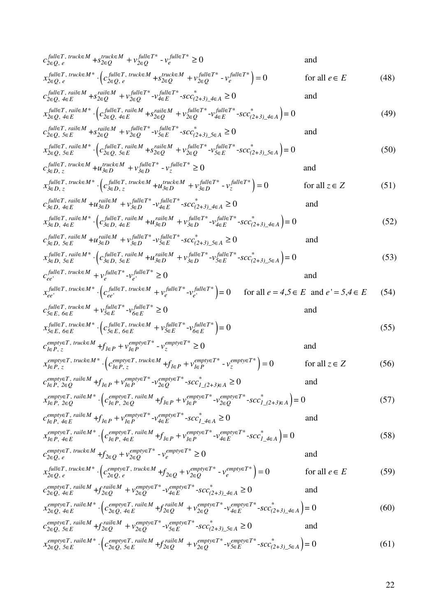( ) , , , , , , + - 0 and + - 0 *full T truck M full T\* truck M full T\* 2 Q e 2 Q 2 Q e full T truck M\* full T truck M full T\* truck M full T\* 2 Q e 2 Q e 2 Q 2 Q e c s v v x c s v v* ∈ ∈ ∈ ∈ ∈ ∈ ∈ ∈ ∈ ∈ ∈ ∈ ∈ ∈ ∈ ∈ ∈ ∈ ∈ + ≥ ⋅ + = for all (48) *e E* ∈ , , , , , , + - - 0 and + *full T rail M full T\* full T\* rail M \* 2 Q 4 E 2 Q 2 Q (2+3)\_4 A 4 E full T rail M\* full T rail M rail 2 Q 4 E 2 Q 4 E 2 Q c s v v scc x c s* ∈ ∈ ∈ ∈ ∈ ∈ ∈ ∈ ∈ ∈ ∈ ∈ ∈ ∈ ∈ ∈ ∈ ∈ ∈ ∈ + ≥ ⋅( - - = 0 ) (49) *M \* full T\* full T\* 2 Q 4 E (2+3)\_4 A v v scc* <sup>∈</sup> ∈ ∈ <sup>+</sup> <sup>∈</sup> <sup>∈</sup> <sup>∈</sup> , , , , , , + - - 0 and + *full T rail M full T\* full T\* rail M \* 2 Q 5 E 2 Q 2 Q (2+3)\_5 A 5 E full T rail M\* full T rail M rail 2 Q 5 E 2 Q 5 E 2 Q c s v v scc x c s* ∈ ∈ ∈ ∈ ∈ ∈ ∈ ∈ ∈ ∈ ∈ ∈ ∈ ∈ ∈ ∈ ∈ ∈ ∈ ∈ + ≥ ⋅( - - = 0 ) (50) *M \* full T\* full T\* 2 Q 5 E (2+3)\_5 A v v scc* <sup>∈</sup> ∈ ∈ <sup>+</sup> <sup>∈</sup> <sup>∈</sup> <sup>∈</sup> ( ) , , , , , , + - 0 and + - 0 *full T truck M full T\* truck M full T\* 3 D z 3 D 3 D z full T truck M\* full T truck M full T\* truck M full T\* 3 D z 3 D z 3 D 3 D z c u v v x c u v v* ∈ ∈ ∈ ∈ ∈ ∈ ∈ ∈ ∈ ∈ ∈ ∈ ∈ ∈ ∈ ∈ ∈ ∈ ∈ + ≥ ⋅ + = for all (51) *z Z* ∈ , , , , , , + - - 0 and + *full T rail M full T\* full T\* rail M \* 3 D 4 E 3 D 3 D (2+3)\_4 A 4 E full T rail M\* full T rail M rail 3 D 4 E 3 D 4 E 3 D c u v v scc x c u* ∈ ∈ ∈ ∈ ∈ ∈ ∈ ∈ ∈ ∈ ∈ ∈ ∈ ∈ ∈ ∈ ∈ ∈ ∈ ∈ + ≥ ⋅( - - = 0 ) (52) *M \* full T\* full T\* 3 D 4 E (2+3)\_4 A v v scc* <sup>∈</sup> ∈ ∈ <sup>+</sup> <sup>∈</sup> <sup>∈</sup> <sup>∈</sup> , , , , , , + - - 0 and + *full T rail M full T\* full T\* rail M \* 3 D 5 E 3 D 3 D (2+3)\_5 A 5 E full T rail M\* full T rail M rail 3 D 5 E 3 D 5 E 3 D c u v v scc x c u* ∈ ∈ ∈ ∈ ∈ ∈ ∈ ∈ ∈ ∈ ∈ ∈ ∈ ∈ ∈ ∈ ∈ ∈ ∈ ∈ + ≥ ⋅( - - = 0 ) (53) *M \* full T\* full T\* 3 D 5 E (2+3)\_5 A v v scc* <sup>∈</sup> ∈ ∈ <sup>+</sup> <sup>∈</sup> <sup>∈</sup> <sup>∈</sup> , ' ' , , ' ' ' - 0 and *full T truck M full T\* full T\* ee e e full T truck M\* full T truck M full full T\* ee ee e e c v v x c v v* ∈ ∈ ∈ ∈ ∈ ∈ ∈ ∈ ∈ + ≥ ⋅ + ( ) = 0 for all , and ' , (54) *T\* e 4 5 E e 5 4 E* <sup>∈</sup> = ∈ = ∈ , , , , , , - 0 and *full T truck M full T\* full T\* 5 E 6 E 6 E 5 E full T truck M\* full T truck M 5 E 6 E 5 E 6 E c v v x c* ∈ ∈ ∈ ∈ ∈ ∈ ∈ ∈ ∈ ∈ ∈ ∈ ∈ ∈ ∈ ∈ + ≥ <sup>⋅</sup>( ) - = 0 (55) *full T\* full T\* 5 E 6 E v v* ∈ ∈ ∈ ∈ + ( ) , , , , , , + - 0 and + - 0 for *empty T truck M empty T\* empty T\* 1 P z 1 P 1 P z empty T truck M\* empty T truck M empty T\* empty T\* 1 P z 1 P z 1 P 1 P z c f v v x c f v v* ∈ ∈ ∈ ∈ ∈ ∈ ∈ ∈ ∈ ∈ ∈ ∈ ∈ ∈ ∈ ∈ ∈ + ≥ ⋅ + = all (56) *z Z* ∈ , , , , , , + - - 0 and + *empty T rail M empty T\* empty T\* \* 1 P 2 Q 1 P 2 Q 1 P 1\_(2+3) A empty T rail M\* empty T rail M em 1 P 2 Q 1 P 2 Q 1 P 1 P c f v v scc x c f v* ∈ ∈ ∈ ∈ ∈ ∈ ∈ ∈ ∈ ∈ ∈ ∈ ∈ ∈ ∈ ∈ ∈ ∈ ∈ ∈ + ≥ ⋅ + ( - - = 0 ( ) 57) *pty T\* empty T\* \* 2 Q 1\_(2+3) A v scc* ∈ ∈ ∈ ∈ , , , , , , + - - 0 and + *empty T rail M empty T\* empty T\* \* 1 P 4 E 1 P 1 P 1\_4 A 4 E empty T rail M\* empty T rail M e 1 P 4 E 1 P 4 E 1 P 1 P c f v v scc x c f v* ∈ ∈ ∈ ∈ ∈ ∈ ∈ ∈ ∈ ∈ ∈ ∈ ∈ ∈ ∈ ∈ ∈ ∈ ∈ ∈ + ≥ ⋅ + ( - - = 0 ) (58) *mpty T\* empty T\* \* 4 E 1\_4 A v scc* ∈ ∈ ∈ ∈ ( ) , , , , , , + - 0 and + - 0 for *empty T truck M empty T\* empty T\* 2 Q e 2 Q 2 Q e full T truck M\* empty T truck M empty T\* empty T\* 2 Q e 2 Q e 2 Q 2 Q e c f v v x c f v v* ∈ ∈ ∈ ∈ ∈ ∈ ∈ ∈ ∈ ∈ ∈ ∈ ∈ ∈ ∈ ∈ ∈ + ≥ ⋅ + = all (59) *e E* ∈ , , , , , , + - - 0 and + *empty T rail M empty T\* empty T\* rail M \* 2 Q 4 E 2 Q 2 Q (2+3)\_4 A 4 E empty T rail M\* empty T rail M rail M 2 Q 4 E 2 Q 4 E 2 Q c f v v scc x c f* ∈ ∈ ∈ ∈ ∈ ∈ ∈ ∈ ∈ ∈ ∈ ∈ ∈ ∈ ∈ ∈ ∈ ∈ ∈ ∈ ∈ + ≥ ⋅( - - = 0 (60) ) *empty T\* empty T\* \* 2 Q 4 E (2+3)\_4 A v v scc* ∈ ∈ <sup>+</sup> <sup>∈</sup> <sup>∈</sup> <sup>∈</sup> , , , , , , + - - 0 and + *empty T rail M empty T\* empty T\* rail M \* 2 Q 5 E 2 Q 2 Q (2+3)\_5 A 5 E empty T rail M\* empty T rail M rail M 2 Q 5 E 2 Q 5 E 2 Q c f v v scc x c f* ∈ ∈ ∈ ∈ ∈ ∈ ∈ ∈ ∈ ∈ ∈ ∈ ∈ ∈ ∈ ∈ ∈ ∈ ∈ ∈ ∈ + ≥ ⋅( - - = 0 (61) ) *empty T\* empty T\* \* 2 Q 5 E (2+3)\_5 A v v scc* ∈ ∈ <sup>+</sup> <sup>∈</sup> <sup>∈</sup> <sup>∈</sup>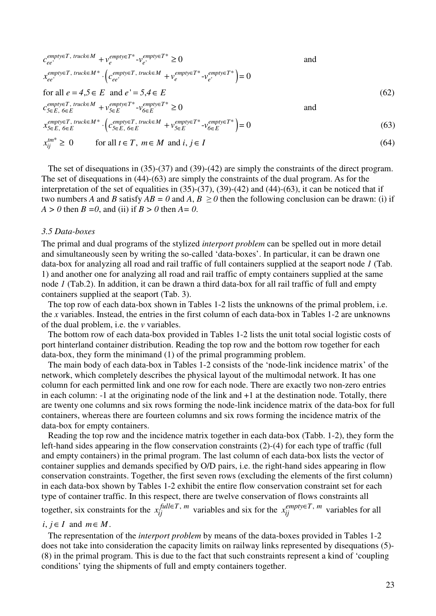$$
c_{ee'}^{empty \in T, \text{ truck} \in M} + v_e^{empty \in T^*} - v_{e'}^{empty \in T^*} \ge 0
$$
\nand\n
$$
x_{ee'}^{empty \in T, \text{ truck} \in M^*} \cdot (c_{ee'}^{empty \in T, \text{ truck} \in M} + v_{e'}^{empty \in T^*} - v_{e'}^{empty \in T^*}) = 0
$$
\nfor all  $e = 4, 5 \in E$  and  $e' = 5, 4 \in E$ \n
$$
c_{\text{step}}^{empty \in T, \text{ truck} \in M} + v_{\text{step}}^{empty \in T^*} - v_{\text{step}}^{empty \in T^*} \ge 0
$$
\nand\n
$$
x_{\text{step}}^{empty \in T, \text{ truck} \in M} + v_{\text{step}}^{empty \in T, \text{ truck} \in M} + v_{\text{step}}^{empty \in T^*} - v_{\text{step}}^{empty \in T^*} \ge 0
$$
\nand\n
$$
x_{\text{step}}^{empty \in T, \text{ truck} \in M^*} \cdot (c_{\text{step}}^{empty \in T, \text{ truck} \in M} + v_{\text{step}}^{empty \in T^*} - v_{\text{step}}^{empty \in T^*}) = 0
$$
\n(63)

$$
x_{5\in E, 6\in E} \qquad (C_{5\in E, 6\in E} + v_{5\in E} - v_{6\in E}) = 0
$$
\n
$$
x^{tm^*} > 0 \qquad \text{for all } t \in T, m \in M \text{ and } i, i \in I
$$
\n(64)

$$
x_{ij}^{tm^*} \ge 0 \qquad \text{for all } t \in T, \ m \in M \text{ and } i, j \in I \tag{64}
$$

The set of disequations in (35)-(37) and (39)-(42) are simply the constraints of the direct program. The set of disequations in (44)-(63) are simply the constraints of the dual program. As for the interpretation of the set of equalities in  $(35)-(37)$ ,  $(39)-(42)$  and  $(44)-(63)$ , it can be noticed that if two numbers *A* and *B* satisfy  $AB = 0$  and  $A, B \ge 0$  then the following conclusion can be drawn: (i) if *A > 0* then *B =0*, and (ii) if *B > 0* then *A= 0*.

#### *3.5 Data-boxes*

The primal and dual programs of the stylized *interport problem* can be spelled out in more detail and simultaneously seen by writing the so-called 'data-boxes'. In particular, it can be drawn one data-box for analyzing all road and rail traffic of full containers supplied at the seaport node *1* (Tab. 1) and another one for analyzing all road and rail traffic of empty containers supplied at the same node *1* (Tab.2). In addition, it can be drawn a third data-box for all rail traffic of full and empty containers supplied at the seaport (Tab. 3).

The top row of each data-box shown in Tables 1-2 lists the unknowns of the primal problem, i.e. the *x* variables. Instead, the entries in the first column of each data-box in Tables 1-2 are unknowns of the dual problem, i.e. the *v* variables.

The bottom row of each data-box provided in Tables 1-2 lists the unit total social logistic costs of port hinterland container distribution. Reading the top row and the bottom row together for each data-box, they form the minimand (1) of the primal programming problem.

The main body of each data-box in Tables 1-2 consists of the 'node-link incidence matrix' of the network, which completely describes the physical layout of the multimodal network. It has one column for each permitted link and one row for each node. There are exactly two non-zero entries in each column: -1 at the originating node of the link and +1 at the destination node. Totally, there are twenty one columns and six rows forming the node-link incidence matrix of the data-box for full containers, whereas there are fourteen columns and six rows forming the incidence matrix of the data-box for empty containers.

Reading the top row and the incidence matrix together in each data-box (Tabb. 1-2), they form the left-hand sides appearing in the flow conservation constraints (2)-(4) for each type of traffic (full and empty containers) in the primal program. The last column of each data-box lists the vector of container supplies and demands specified by O/D pairs, i.e. the right-hand sides appearing in flow conservation constraints. Together, the first seven rows (excluding the elements of the first column) in each data-box shown by Tables 1-2 exhibit the entire flow conservation constraint set for each type of container traffic. In this respect, there are twelve conservation of flows constraints all together, six constraints for the  $x_{ij}^{full \in T, m}$  variables and six for the  $x_{ij}^{empty \in T, m}$  variables for all

### $i, j \in I$  and  $m \in M$ .

The representation of the *interport problem* by means of the data-boxes provided in Tables 1-2 does not take into consideration the capacity limits on railway links represented by disequations (5)- (8) in the primal program. This is due to the fact that such constraints represent a kind of 'coupling conditions' tying the shipments of full and empty containers together.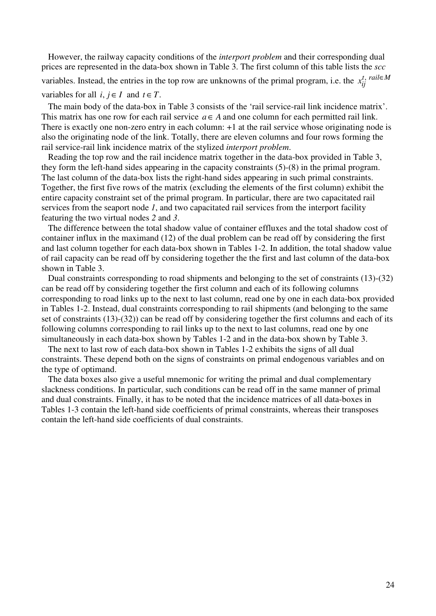However, the railway capacity conditions of the *interport problem* and their corresponding dual prices are represented in the data-box shown in Table 3. The first column of this table lists the *scc*  variables. Instead, the entries in the top row are unknowns of the primal program, i.e. the  $x_{ij}^{t}$ ,  $^{tail \in M}$ variables for all  $i, j \in I$  and  $t \in T$ .

The main body of the data-box in Table 3 consists of the 'rail service-rail link incidence matrix'. This matrix has one row for each rail service  $a \in A$  and one column for each permitted rail link. There is exactly one non-zero entry in each column: +1 at the rail service whose originating node is also the originating node of the link. Totally, there are eleven columns and four rows forming the rail service-rail link incidence matrix of the stylized *interport problem*.

Reading the top row and the rail incidence matrix together in the data-box provided in Table 3, they form the left-hand sides appearing in the capacity constraints (5)-(8) in the primal program. The last column of the data-box lists the right-hand sides appearing in such primal constraints. Together, the first five rows of the matrix (excluding the elements of the first column) exhibit the entire capacity constraint set of the primal program. In particular, there are two capacitated rail services from the seaport node *1*, and two capacitated rail services from the interport facility featuring the two virtual nodes *2* and *3*.

The difference between the total shadow value of container effluxes and the total shadow cost of container influx in the maximand (12) of the dual problem can be read off by considering the first and last column together for each data-box shown in Tables 1-2. In addition, the total shadow value of rail capacity can be read off by considering together the the first and last column of the data-box shown in Table 3.

Dual constraints corresponding to road shipments and belonging to the set of constraints (13)-(32) can be read off by considering together the first column and each of its following columns corresponding to road links up to the next to last column, read one by one in each data-box provided in Tables 1-2. Instead, dual constraints corresponding to rail shipments (and belonging to the same set of constraints (13)-(32)) can be read off by considering together the first columns and each of its following columns corresponding to rail links up to the next to last columns, read one by one simultaneously in each data-box shown by Tables 1-2 and in the data-box shown by Table 3.

The next to last row of each data-box shown in Tables 1-2 exhibits the signs of all dual constraints. These depend both on the signs of constraints on primal endogenous variables and on the type of optimand.

The data boxes also give a useful mnemonic for writing the primal and dual complementary slackness conditions. In particular, such conditions can be read off in the same manner of primal and dual constraints. Finally, it has to be noted that the incidence matrices of all data-boxes in Tables 1-3 contain the left-hand side coefficients of primal constraints, whereas their transposes contain the left-hand side coefficients of dual constraints.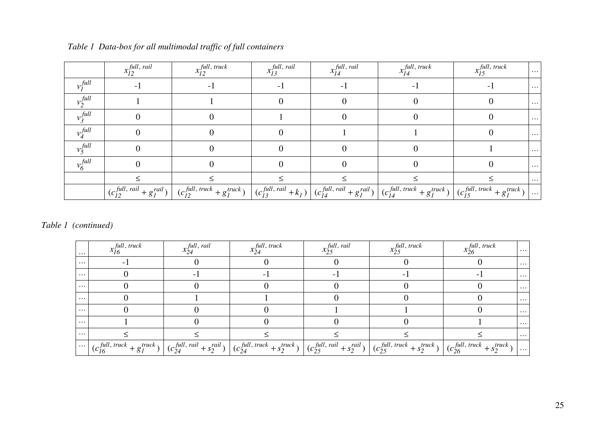|                     | $x_{12}^{full, \, rail}$ | $x_{I2}^{full, \, truck}$                                                                                                                                                                                                                                                                                                                                                                         | $x_{I3}^{\text{full, } \text{real}}$ | $x_{I4}^{full, \; rail}$ | $x_{I4}^{full, \, track}$ | $x_{15}^{full, \, truck}$ | $\sim$                  |
|---------------------|--------------------------|---------------------------------------------------------------------------------------------------------------------------------------------------------------------------------------------------------------------------------------------------------------------------------------------------------------------------------------------------------------------------------------------------|--------------------------------------|--------------------------|---------------------------|---------------------------|-------------------------|
| $v_I^{\text{full}}$ |                          |                                                                                                                                                                                                                                                                                                                                                                                                   |                                      |                          |                           |                           | $\sim$ $\sim$ $\sim$    |
| $v_2$ <i>full</i>   |                          |                                                                                                                                                                                                                                                                                                                                                                                                   |                                      |                          |                           |                           | $\sim$ $\sim$ $\sim$    |
| $v_3$ <i>full</i>   |                          |                                                                                                                                                                                                                                                                                                                                                                                                   |                                      |                          |                           |                           | $\sim$ 0.00 $\pm$       |
| $v_4$ full          |                          |                                                                                                                                                                                                                                                                                                                                                                                                   |                                      |                          |                           |                           | $\sim 100$ km s $^{-1}$ |
| $v_5$ full          |                          |                                                                                                                                                                                                                                                                                                                                                                                                   |                                      |                          |                           |                           | $\sim$ $\sim$ $\sim$    |
| $v_6^{full}$        |                          |                                                                                                                                                                                                                                                                                                                                                                                                   |                                      |                          |                           |                           | $\sim 100$ km s $^{-1}$ |
|                     |                          |                                                                                                                                                                                                                                                                                                                                                                                                   |                                      |                          |                           |                           | $\cdots$                |
|                     |                          | $(c_{12}^{full, \, \, \textit{tail}} + g_I^{\, \, \textit{tail}})$ $(c_{12}^{full, \, \, \textit{truck}} + g_I^{\, \, \textit{truek}})$ $(c_{13}^{full, \, \, \textit{tail}} + k_I)$ $(c_{14}^{full, \, \, \textit{tail}} + g_I^{\, \, \textit{tail}})$ $(c_{14}^{full, \, \, \textit{truek}} + g_I^{\, \, \textit{truek}})$ $(c_{15}^{full, \, \, \textit{truek}} + g_I^{\, \, \textit{truek}})$ |                                      |                          |                           |                           |                         |

### *Table 1 Data-box for all multimodal traffic of full containers*

*Table 1 (continued)* 

| $\cdots$ | $x_{16}^{full, \, truck}$                                                                                                                                                                                                                                                                                                                                                                                                 | $x_{24}^{\text{full, } \text{real}}$ | $x_{24}^{\text{full}, \text{ truck}}$ | $x_{25}$ <i>full, rail</i> | $x_{25}^{\text{full}, \text{ truck}}$ | $x_{26}^{full, \, truck}$ | $\cdots$ |
|----------|---------------------------------------------------------------------------------------------------------------------------------------------------------------------------------------------------------------------------------------------------------------------------------------------------------------------------------------------------------------------------------------------------------------------------|--------------------------------------|---------------------------------------|----------------------------|---------------------------------------|---------------------------|----------|
| $\cdots$ |                                                                                                                                                                                                                                                                                                                                                                                                                           |                                      |                                       |                            |                                       |                           | $\cdots$ |
| $\cdots$ |                                                                                                                                                                                                                                                                                                                                                                                                                           |                                      |                                       |                            |                                       |                           | $\cdots$ |
| $\cdots$ |                                                                                                                                                                                                                                                                                                                                                                                                                           |                                      |                                       |                            |                                       |                           | $\cdots$ |
| $\cdots$ |                                                                                                                                                                                                                                                                                                                                                                                                                           |                                      |                                       |                            |                                       |                           | $\cdots$ |
| $\cdots$ |                                                                                                                                                                                                                                                                                                                                                                                                                           |                                      |                                       |                            |                                       |                           | $\cdots$ |
| $\cdots$ |                                                                                                                                                                                                                                                                                                                                                                                                                           |                                      |                                       |                            |                                       |                           | $\cdots$ |
| $\cdots$ |                                                                                                                                                                                                                                                                                                                                                                                                                           |                                      |                                       |                            |                                       |                           | $\cdots$ |
|          | $\Big \cdots\Big \left(c_{16}^{full, \, track} + g_1^{track}\right)\Big \left(c_{24}^{full, \, rail} + s_2^{tail}\right)\Big \left(c_{24}^{full, \, truck} + s_2^{truck}\right)\Big \left(c_{25}^{full, \, rail} + s_2^{tail}\right)\Big \left(c_{25}^{full, \, rule} + s_2^{truek}\right)\Big \left(c_{26}^{full, \, truck} + s_2^{truek}\right)\Big \left(c_{26}^{full, \, truck} + s_2^{truek}\right)\Big \cdots\Big $ |                                      |                                       |                            |                                       |                           |          |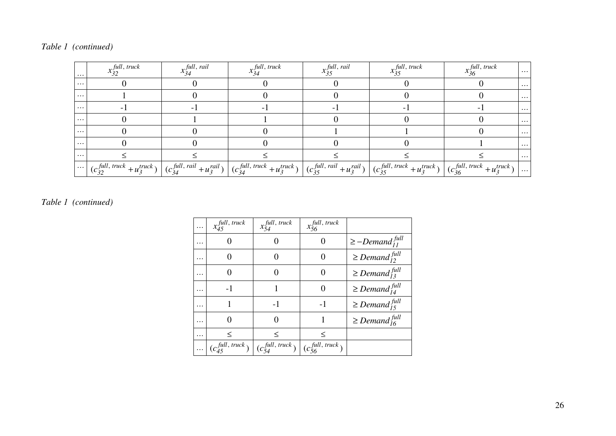| $\cdots$             | $x_{32}$ <i>full, truck</i> | $x_{34}^{\text{full, } \text{real}}$ | $x_{34}^{\text{full}, \, \text{truck}}$ | $x_{35}^{\text{full, rail}}$ | $x_{35}^{\text{full}, \text{ truck}}$ | $x_{36}^{\text{full, truck}}$                                                                                                                                                                                                                                                                                                                                                                          | $\sim$ $\sim$ $\sim$ |
|----------------------|-----------------------------|--------------------------------------|-----------------------------------------|------------------------------|---------------------------------------|--------------------------------------------------------------------------------------------------------------------------------------------------------------------------------------------------------------------------------------------------------------------------------------------------------------------------------------------------------------------------------------------------------|----------------------|
| $\cdots$             |                             |                                      |                                         |                              |                                       |                                                                                                                                                                                                                                                                                                                                                                                                        | $\sim 100$           |
| $\cdots$             |                             |                                      |                                         |                              |                                       |                                                                                                                                                                                                                                                                                                                                                                                                        | $\sim 100$           |
| $\cdots$             |                             |                                      |                                         |                              |                                       |                                                                                                                                                                                                                                                                                                                                                                                                        | $\sim 100$           |
|                      |                             |                                      |                                         |                              |                                       |                                                                                                                                                                                                                                                                                                                                                                                                        | $\sim 100$           |
| $\sim$ $\sim$ $\sim$ |                             |                                      |                                         |                              |                                       |                                                                                                                                                                                                                                                                                                                                                                                                        | $\sim 100$           |
| $\cdots$             |                             |                                      |                                         |                              |                                       |                                                                                                                                                                                                                                                                                                                                                                                                        | $\sim 100$           |
| .                    |                             |                                      |                                         |                              |                                       |                                                                                                                                                                                                                                                                                                                                                                                                        | $\sim 1000$          |
|                      |                             |                                      |                                         |                              |                                       | $\Big \cdots\Big \left(c_{32}^{full, \, track}+u_3^{truck}\right)\Big \left(c_{34}^{full, \, rail}+u_3^{tail}\right)\Big \left(c_{34}^{full, \, truck}+u_3^{truck}\right)\Big \left(c_{35}^{full, \, rail}+u_3^{tail}\right)\Big \left(c_{35}^{full, \, trust}+u_3^{rule}\right)\Big \left(c_{35}^{full, \, truck}+u_3^{truck}\right)\Big \left(c_{36}^{full, \, truck}+u_3^{truek}\right)\Big \cdots$ |                      |

### *Table 1 (continued)*

| .        | $x_{45}^{full, \, truck}$               | $x_{54}^{full, \, truck}$   | $x_{56}$ full, truck        |                                  |
|----------|-----------------------------------------|-----------------------------|-----------------------------|----------------------------------|
| .        |                                         |                             |                             | $\geq$ -Demand $\frac{full}{11}$ |
| .        |                                         | 0                           | $\mathbf{0}$                | $\geq$ Demand $\frac{full}{12}$  |
| .        |                                         |                             | $\mathbf{\Omega}$           | $\geq$ Demand $_{13}^{full}$     |
| .        | -1                                      |                             |                             | $\geq$ Demand $_{14}^{full}$     |
| .        |                                         | $-1$                        | $-1$                        | $\geq$ Demand $_{15}^{full}$     |
| .        |                                         |                             |                             | $\geq$ Demand $_{16}^{full}$     |
| .        | $\,<\,$                                 | $\,<\,$                     | $\,<\,$                     |                                  |
| $\cdots$ | $(c_{ij}^{\text{full}, \text{ truck}})$ | $(c_{5A}^{full, \, truck})$ | $(c_{56}^{full, \, truck})$ |                                  |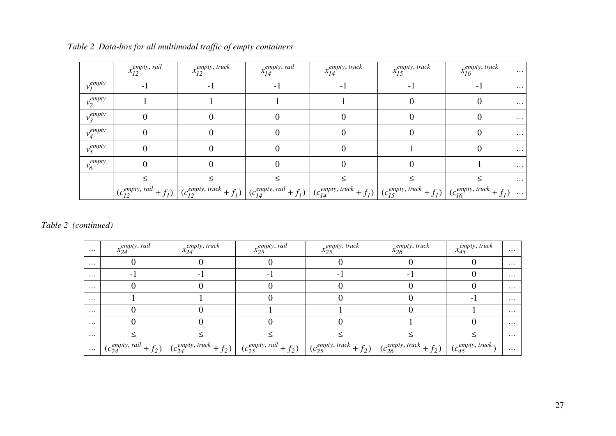|               | $x_{12}^{empty, \; rail}$ | $x_{I2}^{empty, \, truck}$ | $x_{I4}^{empty, \; rail}$ | $x_{I4}^{empty, \, truck}$                                                                                                                                                                                                                                                                                  | $x_{15}$ empty, truck | $x_{16}^{empty, \, track}$ | $\sim$ $\sim$ $\sim$ |
|---------------|---------------------------|----------------------------|---------------------------|-------------------------------------------------------------------------------------------------------------------------------------------------------------------------------------------------------------------------------------------------------------------------------------------------------------|-----------------------|----------------------------|----------------------|
| $v_l^{empty}$ |                           |                            |                           |                                                                                                                                                                                                                                                                                                             |                       |                            | $\sim 100$           |
| $v_2^{empty}$ |                           |                            |                           |                                                                                                                                                                                                                                                                                                             |                       |                            | $\cdots$             |
| $v_3^{empty}$ |                           |                            |                           |                                                                                                                                                                                                                                                                                                             |                       |                            | $\sim$ $\sim$ $\sim$ |
| $v_4^{empty}$ |                           |                            |                           |                                                                                                                                                                                                                                                                                                             |                       |                            | $\sim$ $\sim$ $\sim$ |
| $v_5^{empty}$ |                           |                            |                           |                                                                                                                                                                                                                                                                                                             |                       |                            | $\sim$ $\sim$ $\sim$ |
| $v_6^{empty}$ |                           |                            |                           |                                                                                                                                                                                                                                                                                                             |                       |                            | $\sim$ $\sim$ $\sim$ |
|               |                           |                            |                           |                                                                                                                                                                                                                                                                                                             |                       |                            | $\sim$ $\sim$ $\sim$ |
|               |                           |                            |                           | $(c_{12}^{empty, \, \text{raid}} + f_1)$ $(c_{12}^{empty, \, \text{track}} + f_1)$ $(c_{14}^{empty, \, \text{raid}} + f_1)$ $(c_{14}^{empty, \, \text{track}} + f_1)$ $(c_{15}^{empty, \, \text{track}} + f_1)$ $(c_{15}^{empty, \, \text{track}} + f_1)$ $(c_{16}^{empty, \, \text{track}} + f_1)$ $\dots$ |                       |                            |                      |

*Table 2 Data-box for all multimodal traffic of empty containers* 

*Table 2 (continued)* 

| $\sim 100$ | $x_{24}$ empty, rail | $x_{24}$ <sub>empty</sub> , truck | $x_{25}^{empty, \, \, \text{real}}$ | $x_{25}$ empty, truck                                                                                                                                                                                                                                                                                                                                                                                                                                | $x_{26}^{empty, \, truck}$ | $x_{45}$ empty, truck | . |
|------------|----------------------|-----------------------------------|-------------------------------------|------------------------------------------------------------------------------------------------------------------------------------------------------------------------------------------------------------------------------------------------------------------------------------------------------------------------------------------------------------------------------------------------------------------------------------------------------|----------------------------|-----------------------|---|
| .          |                      |                                   |                                     |                                                                                                                                                                                                                                                                                                                                                                                                                                                      |                            |                       | . |
| $\cdots$   |                      |                                   |                                     |                                                                                                                                                                                                                                                                                                                                                                                                                                                      |                            |                       | . |
| .          |                      |                                   |                                     |                                                                                                                                                                                                                                                                                                                                                                                                                                                      |                            |                       | . |
| $\cdots$   |                      |                                   |                                     |                                                                                                                                                                                                                                                                                                                                                                                                                                                      |                            |                       |   |
| .          |                      |                                   |                                     |                                                                                                                                                                                                                                                                                                                                                                                                                                                      |                            |                       |   |
| .          |                      |                                   |                                     |                                                                                                                                                                                                                                                                                                                                                                                                                                                      |                            |                       | . |
| $\cdots$   |                      |                                   |                                     |                                                                                                                                                                                                                                                                                                                                                                                                                                                      |                            |                       | . |
|            |                      |                                   |                                     | $\ldots \mid (c_{24}^{empty, \text{ } \text{ } r \text{ } a \text{ } i \text{ } + f_2) \mid (c_{24}^{empty, \text{ } \text{ } truck} + f_2) \mid (c_{25}^{empty, \text{ } \text{ } ra \text{ } i \text{ } + f_2) \mid (c_{25}^{empty, \text{ } \text{ } truck} + f_2) \mid (c_{26}^{empty, \text{ } truck} + f_2) \mid (c_{45}^{empty, \text{ } truck} + f_2) \mid (c_{45}^{empty, \text{ } truck} + f_2) \mid (c_{45}^{empty, \text{ } truck} + f_$ |                            |                       | . |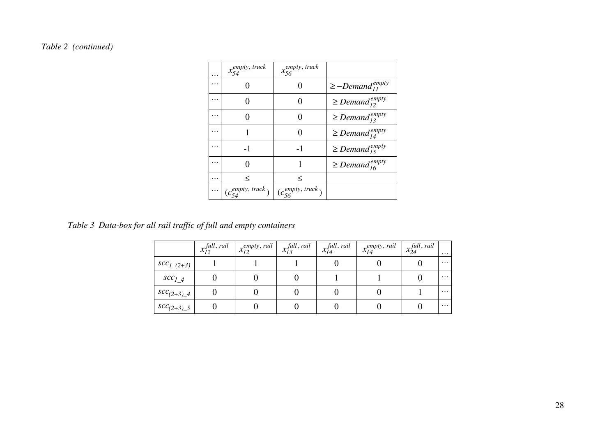# *Table 2 (continued)*

| . | $x_{54}$ <sub>empty</sub> , truck | $x_{56}$ <sub>empty</sub> , truck |                                 |
|---|-----------------------------------|-----------------------------------|---------------------------------|
| . |                                   |                                   | $\geq$ -Demand <sup>empty</sup> |
| . |                                   |                                   | $\geq$ Demand <sup>empty</sup>  |
| . |                                   |                                   | $\geq$ Demand <sup>empty</sup>  |
| . |                                   |                                   | $\geq$ Demand $_{14}^{empty}$   |
| . | $-1$                              | $-1$                              | $\geq$ Demand <sup>empty</sup>  |
| . |                                   |                                   | $\geq$ Demand $_{16}^{empty}$   |
| . | $\,<\,$                           | $\,<\,$                           |                                 |
| . | $(c_{54}^{empty, \, truck})$      | $(c_{56}^{empty, \, truck})$      |                                 |

*Table 3 Data-box for all rail traffic of full and empty containers* 

|                  | $x_{I2}^{full, \, rail}$ | $x_{12}^{empty, \; rail}$ | $x_{I3}^{full, \; rail}$ | $x_{I4}^{full, \; rail}$ | $x_{14}^{empty, \; rail}$ | $x_{24}^{full, \, rail}$ | .        |
|------------------|--------------------------|---------------------------|--------------------------|--------------------------|---------------------------|--------------------------|----------|
| $SCC_{1(2+3)}$   |                          |                           |                          |                          |                           |                          | $\cdots$ |
| $SCC_{14}$       |                          |                           |                          |                          |                           |                          | $\cdots$ |
| $SCC_{(2+3)}4$   |                          |                           |                          |                          |                           |                          | $\cdots$ |
| $SCC_{(2+3)\_5}$ |                          |                           |                          |                          |                           |                          | $\cdots$ |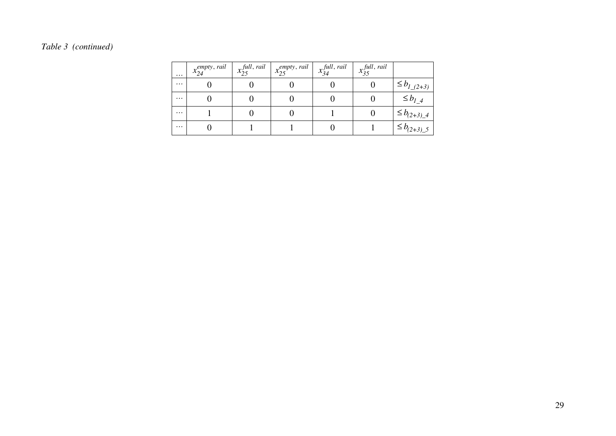# *Table 3 (continued)*

| $\cdots$ | $x_{24}^{empty, \, \text{real}}$ | $x_{25}^{full, \; rail}$ | $\cdot$   $x_{25}^{empty, \, \text{real}}$ | $x_{34}^{\text{full, } \text{real}}$ | $x_{35}^{\text{full, } \text{real}}$ |                     |
|----------|----------------------------------|--------------------------|--------------------------------------------|--------------------------------------|--------------------------------------|---------------------|
| $\cdots$ |                                  |                          |                                            |                                      |                                      | $\le b_{l(2+3)}$    |
| $\cdots$ |                                  |                          |                                            |                                      |                                      | $\leq b_{l}$ 4      |
| $\cdots$ |                                  |                          |                                            |                                      |                                      | $\leq b_{(2+3)-4}$  |
| $\cdots$ |                                  |                          |                                            |                                      |                                      | $1 \le b_{(2+3)-5}$ |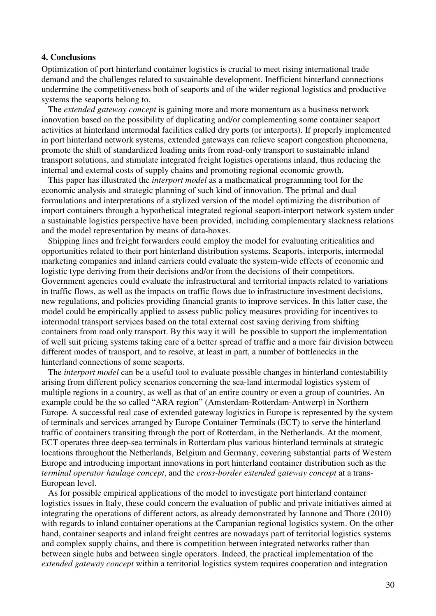### **4. Conclusions**

Optimization of port hinterland container logistics is crucial to meet rising international trade demand and the challenges related to sustainable development. Inefficient hinterland connections undermine the competitiveness both of seaports and of the wider regional logistics and productive systems the seaports belong to.

The *extended gateway concept* is gaining more and more momentum as a business network innovation based on the possibility of duplicating and/or complementing some container seaport activities at hinterland intermodal facilities called dry ports (or interports). If properly implemented in port hinterland network systems, extended gateways can relieve seaport congestion phenomena, promote the shift of standardized loading units from road-only transport to sustainable inland transport solutions, and stimulate integrated freight logistics operations inland, thus reducing the internal and external costs of supply chains and promoting regional economic growth.

This paper has illustrated the *interport model* as a mathematical programming tool for the economic analysis and strategic planning of such kind of innovation. The primal and dual formulations and interpretations of a stylized version of the model optimizing the distribution of import containers through a hypothetical integrated regional seaport-interport network system under a sustainable logistics perspective have been provided, including complementary slackness relations and the model representation by means of data-boxes.

Shipping lines and freight forwarders could employ the model for evaluating criticalities and opportunities related to their port hinterland distribution systems. Seaports, interports, intermodal marketing companies and inland carriers could evaluate the system-wide effects of economic and logistic type deriving from their decisions and/or from the decisions of their competitors. Government agencies could evaluate the infrastructural and territorial impacts related to variations in traffic flows, as well as the impacts on traffic flows due to infrastructure investment decisions, new regulations, and policies providing financial grants to improve services. In this latter case, the model could be empirically applied to assess public policy measures providing for incentives to intermodal transport services based on the total external cost saving deriving from shifting containers from road only transport. By this way it will be possible to support the implementation of well suit pricing systems taking care of a better spread of traffic and a more fair division between different modes of transport, and to resolve, at least in part, a number of bottlenecks in the hinterland connections of some seaports.

The *interport model* can be a useful tool to evaluate possible changes in hinterland contestability arising from different policy scenarios concerning the sea-land intermodal logistics system of multiple regions in a country, as well as that of an entire country or even a group of countries. An example could be the so called "ARA region" (Amsterdam-Rotterdam-Antwerp) in Northern Europe. A successful real case of extended gateway logistics in Europe is represented by the system of terminals and services arranged by Europe Container Terminals (ECT) to serve the hinterland traffic of containers transiting through the port of Rotterdam, in the Netherlands. At the moment, ECT operates three deep-sea terminals in Rotterdam plus various hinterland terminals at strategic locations throughout the Netherlands, Belgium and Germany, covering substantial parts of Western Europe and introducing important innovations in port hinterland container distribution such as the *terminal operator haulage concept*, and the *cross-border extended gateway concept* at a trans-European level.

As for possible empirical applications of the model to investigate port hinterland container logistics issues in Italy, these could concern the evaluation of public and private initiatives aimed at integrating the operations of different actors, as already demonstrated by Iannone and Thore (2010) with regards to inland container operations at the Campanian regional logistics system. On the other hand, container seaports and inland freight centres are nowadays part of territorial logistics systems and complex supply chains, and there is competition between integrated networks rather than between single hubs and between single operators. Indeed, the practical implementation of the *extended gateway concept* within a territorial logistics system requires cooperation and integration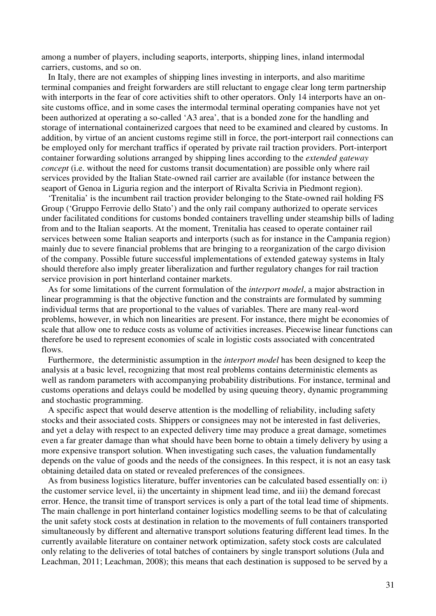among a number of players, including seaports, interports, shipping lines, inland intermodal carriers, customs, and so on.

In Italy, there are not examples of shipping lines investing in interports, and also maritime terminal companies and freight forwarders are still reluctant to engage clear long term partnership with interports in the fear of core activities shift to other operators. Only 14 interports have an onsite customs office, and in some cases the intermodal terminal operating companies have not yet been authorized at operating a so-called 'A3 area', that is a bonded zone for the handling and storage of international containerized cargoes that need to be examined and cleared by customs. In addition, by virtue of an ancient customs regime still in force, the port-interport rail connections can be employed only for merchant traffics if operated by private rail traction providers. Port-interport container forwarding solutions arranged by shipping lines according to the *extended gateway concept* (i.e. without the need for customs transit documentation) are possible only where rail services provided by the Italian State-owned rail carrier are available (for instance between the seaport of Genoa in Liguria region and the interport of Rivalta Scrivia in Piedmont region).

'Trenitalia' is the incumbent rail traction provider belonging to the State-owned rail holding FS Group ('Gruppo Ferrovie dello Stato') and the only rail company authorized to operate services under facilitated conditions for customs bonded containers travelling under steamship bills of lading from and to the Italian seaports. At the moment, Trenitalia has ceased to operate container rail services between some Italian seaports and interports (such as for instance in the Campania region) mainly due to severe financial problems that are bringing to a reorganization of the cargo division of the company. Possible future successful implementations of extended gateway systems in Italy should therefore also imply greater liberalization and further regulatory changes for rail traction service provision in port hinterland container markets.

As for some limitations of the current formulation of the *interport model*, a major abstraction in linear programming is that the objective function and the constraints are formulated by summing individual terms that are proportional to the values of variables. There are many real-word problems, however, in which non linearities are present. For instance, there might be economies of scale that allow one to reduce costs as volume of activities increases. Piecewise linear functions can therefore be used to represent economies of scale in logistic costs associated with concentrated flows.

Furthermore, the deterministic assumption in the *interport model* has been designed to keep the analysis at a basic level, recognizing that most real problems contains deterministic elements as well as random parameters with accompanying probability distributions. For instance, terminal and customs operations and delays could be modelled by using queuing theory, dynamic programming and stochastic programming.

A specific aspect that would deserve attention is the modelling of reliability, including safety stocks and their associated costs. Shippers or consignees may not be interested in fast deliveries, and yet a delay with respect to an expected delivery time may produce a great damage, sometimes even a far greater damage than what should have been borne to obtain a timely delivery by using a more expensive transport solution. When investigating such cases, the valuation fundamentally depends on the value of goods and the needs of the consignees. In this respect, it is not an easy task obtaining detailed data on stated or revealed preferences of the consignees.

As from business logistics literature, buffer inventories can be calculated based essentially on: i) the customer service level, ii) the uncertainty in shipment lead time, and iii) the demand forecast error. Hence, the transit time of transport services is only a part of the total lead time of shipments. The main challenge in port hinterland container logistics modelling seems to be that of calculating the unit safety stock costs at destination in relation to the movements of full containers transported simultaneously by different and alternative transport solutions featuring different lead times. In the currently available literature on container network optimization, safety stock costs are calculated only relating to the deliveries of total batches of containers by single transport solutions (Jula and Leachman, 2011; Leachman, 2008); this means that each destination is supposed to be served by a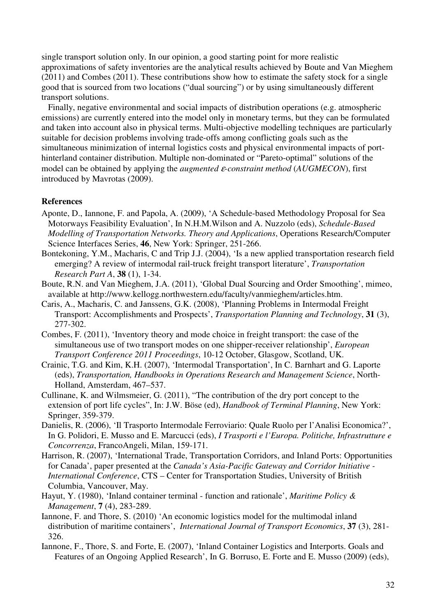single transport solution only. In our opinion, a good starting point for more realistic approximations of safety inventories are the analytical results achieved by Boute and Van Mieghem (2011) and Combes (2011). These contributions show how to estimate the safety stock for a single good that is sourced from two locations ("dual sourcing") or by using simultaneously different transport solutions.

Finally, negative environmental and social impacts of distribution operations (e.g. atmospheric emissions) are currently entered into the model only in monetary terms, but they can be formulated and taken into account also in physical terms. Multi-objective modelling techniques are particularly suitable for decision problems involving trade-offs among conflicting goals such as the simultaneous minimization of internal logistics costs and physical environmental impacts of porthinterland container distribution. Multiple non-dominated or "Pareto-optimal" solutions of the model can be obtained by applying the *augmented* ε*-constraint method* (*AUGMECON*), first introduced by Mavrotas (2009).

### **References**

- Aponte, D., Iannone, F. and Papola, A. (2009), 'A Schedule-based Methodology Proposal for Sea Motorways Feasibility Evaluation', In N.H.M.Wilson and A. Nuzzolo (eds), *Schedule-Based Modelling of Transportation Networks. Theory and Applications*, Operations Research/Computer Science Interfaces Series, **46**, New York: Springer, 251-266.
- Bontekoning, Y.M., Macharis, C and Trip J.J. (2004), 'Is a new applied transportation research field emerging? A review of intermodal rail-truck freight transport literature', *Transportation Research Part A*, **38** (1), 1-34.
- Boute, R.N. and Van Mieghem, J.A. (2011), 'Global Dual Sourcing and Order Smoothing', mimeo, available at http://www.kellogg.northwestern.edu/faculty/vanmieghem/articles.htm.
- Caris, A., Macharis, C. and Janssens, G.K. (2008), 'Planning Problems in Intermodal Freight Transport: Accomplishments and Prospects', *Transportation Planning and Technology*, **31** (3), 277-302.
- Combes, F. (2011), 'Inventory theory and mode choice in freight transport: the case of the simultaneous use of two transport modes on one shipper-receiver relationship', *European Transport Conference 2011 Proceedings*, 10-12 October, Glasgow, Scotland, UK.
- Crainic, T.G. and Kim, K.H. (2007), 'Intermodal Transportation', In C. Barnhart and G. Laporte (eds), *Transportation, Handbooks in Operations Research and Management Science*, North-Holland, Amsterdam, 467–537.
- Cullinane, K. and Wilmsmeier, G. (2011), "The contribution of the dry port concept to the extension of port life cycles", In: J.W. Böse (ed), *Handbook of Terminal Planning*, New York: Springer, 359-379.
- Danielis, R. (2006), 'Il Trasporto Intermodale Ferroviario: Quale Ruolo per l'Analisi Economica?', In G. Polidori, E. Musso and E. Marcucci (eds), *I Trasporti e l'Europa. Politiche, Infrastrutture e Concorrenza*, FrancoAngeli, Milan, 159-171.
- Harrison, R. (2007), 'International Trade, Transportation Corridors, and Inland Ports: Opportunities for Canada', paper presented at the *Canada's Asia-Pacific Gateway and Corridor Initiative - International Conference*, CTS – Center for Transportation Studies, University of British Columbia, Vancouver, May.
- Hayut, Y. (1980), 'Inland container terminal function and rationale', *Maritime Policy & Management*, **7** (4), 283-289.
- Iannone, F. and Thore, S. (2010) 'An economic logistics model for the multimodal inland distribution of maritime containers', *International Journal of Transport Economics*, **37** (3), 281- 326.
- Iannone, F., Thore, S. and Forte, E. (2007), 'Inland Container Logistics and Interports. Goals and Features of an Ongoing Applied Research', In G. Borruso, E. Forte and E. Musso (2009) (eds),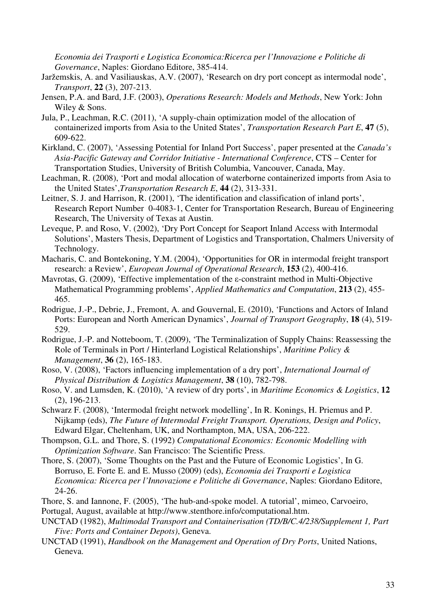*Economia dei Trasporti e Logistica Economica:Ricerca per l'Innovazione e Politiche di Governance*, Naples: Giordano Editore, 385-414.

- Jaržemskis, A. and Vasiliauskas, A.V. (2007), 'Research on dry port concept as intermodal node', *Transport*, **22** (3), 207-213.
- Jensen, P.A. and Bard, J.F. (2003), *Operations Research: Models and Methods*, New York: John Wiley & Sons.
- Jula, P., Leachman, R.C. (2011), 'A supply-chain optimization model of the allocation of containerized imports from Asia to the United States', *Transportation Research Part E*, **47** (5), 609-622.
- Kirkland, C. (2007), 'Assessing Potential for Inland Port Success', paper presented at the *Canada's Asia-Pacific Gateway and Corridor Initiative - International Conference*, CTS – Center for Transportation Studies, University of British Columbia, Vancouver, Canada, May.
- Leachman, R. (2008), 'Port and modal allocation of waterborne containerized imports from Asia to the United States',*Transportation Research E*, **44** (2), 313-331.
- Leitner, S. J. and Harrison, R. (2001), 'The identification and classification of inland ports', Research Report Number 0-4083-1, Center for Transportation Research, Bureau of Engineering Research, The University of Texas at Austin.
- Leveque, P. and Roso, V. (2002), 'Dry Port Concept for Seaport Inland Access with Intermodal Solutions', Masters Thesis, Department of Logistics and Transportation, Chalmers University of Technology.
- Macharis, C. and Bontekoning, Y.M. (2004), 'Opportunities for OR in intermodal freight transport research: a Review', *European Journal of Operational Research*, **153** (2), 400-416.
- Mavrotas, G. (2009), 'Effective implementation of the ε-constraint method in Multi-Objective Mathematical Programming problems', *Applied Mathematics and Computation*, **213** (2), 455- 465.
- Rodrigue, J.-P., Debrie, J., Fremont, A. and Gouvernal, E. (2010), 'Functions and Actors of Inland Ports: European and North American Dynamics', *Journal of Transport Geography*, **18** (4), 519- 529.
- Rodrigue, J.-P. and Notteboom, T. (2009), 'The Terminalization of Supply Chains: Reassessing the Role of Terminals in Port / Hinterland Logistical Relationships', *Maritime Policy & Management*, **36** (2), 165-183.
- Roso, V. (2008), 'Factors influencing implementation of a dry port', *International Journal of Physical Distribution & Logistics Management*, **38** (10), 782-798.
- Roso, V. and Lumsden, K. (2010), 'A review of dry ports', in *Maritime Economics & Logistics*, **12** (2), 196-213.
- Schwarz F. (2008), 'Intermodal freight network modelling', In R. Konings, H. Priemus and P. Nijkamp (eds), *The Future of Intermodal Freight Transport. Operations, Design and Policy*, Edward Elgar, Cheltenham, UK, and Northampton, MA, USA, 206-222.
- Thompson, G.L. and Thore, S. (1992) *Computational Economics: Economic Modelling with Optimization Software*. San Francisco: The Scientific Press.
- Thore, S. (2007), 'Some Thoughts on the Past and the Future of Economic Logistics', In G. Borruso, E. Forte E. and E. Musso (2009) (eds), *Economia dei Trasporti e Logistica Economica: Ricerca per l'Innovazione e Politiche di Governance*, Naples: Giordano Editore, 24-26.
- Thore, S. and Iannone, F. (2005), 'The hub-and-spoke model. A tutorial', mimeo, Carvoeiro,
- Portugal, August, available at http://www.stenthore.info/computational.htm.
- UNCTAD (1982), *Multimodal Transport and Containerisation (TD/B/C.4/238/Supplement 1, Part Five: Ports and Container Depots)*, Geneva.
- UNCTAD (1991), *Handbook on the Management and Operation of Dry Ports*, United Nations, Geneva.